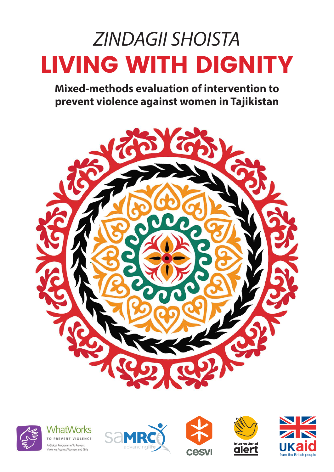# *ZINDAGII SHOISTA* LIVING WITH DIGNITY

**Mixed-methods evaluation of intervention to prevent violence against women in Tajikistan**











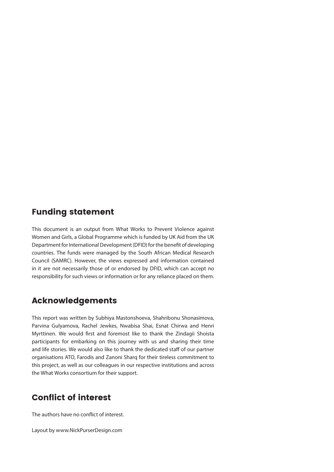### Funding statement

This document is an output from What Works to Prevent Violence against Women and Girls, a Global Programme which is funded by UK Aid from the UK Department for International Development (DFID) for the benefit of developing countries. The funds were managed by the South African Medical Research Council (SAMRC). However, the views expressed and information contained in it are not necessarily those of or endorsed by DFID, which can accept no responsibility for such views or information or for any reliance placed on them.

### Acknowledgements

This report was written by Subhiya Mastonshoeva, Shahribonu Shonasimova, Parvina Gulyamova, Rachel Jewkes, Nwabisa Shai, Esnat Chirwa and Henri Myrttinen. We would first and foremost like to thank the Zindagii Shoista participants for embarking on this journey with us and sharing their time and life stories. We would also like to thank the dedicated staff of our partner organisations ATO, Farodis and Zanoni Sharq for their tireless commitment to this project, as well as our colleagues in our respective institutions and across the What Works consortium for their support.

### Conflict of interest

The authors have no conflict of interest.

Layout by www.NickPurserDesign.com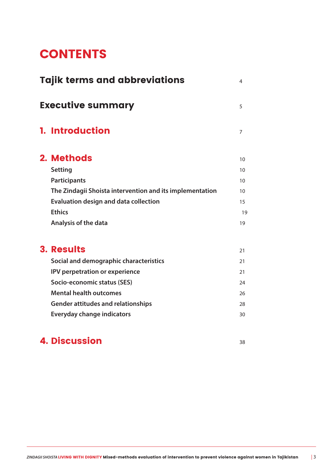# **CONTENTS**

| <b>Tajik terms and abbreviations</b><br>4 |                                                          |    |  |  |  |  |
|-------------------------------------------|----------------------------------------------------------|----|--|--|--|--|
| <b>Executive summary</b><br>5             |                                                          |    |  |  |  |  |
|                                           | <b>1. Introduction</b>                                   | 7  |  |  |  |  |
|                                           | 2. Methods                                               | 10 |  |  |  |  |
|                                           | <b>Setting</b>                                           | 10 |  |  |  |  |
|                                           | <b>Participants</b>                                      | 10 |  |  |  |  |
|                                           | The Zindagii Shoista intervention and its implementation | 10 |  |  |  |  |
|                                           | <b>Evaluation design and data collection</b>             | 15 |  |  |  |  |
|                                           | <b>Ethics</b>                                            | 19 |  |  |  |  |
|                                           | Analysis of the data                                     | 19 |  |  |  |  |
|                                           | <b>3. Results</b>                                        | 21 |  |  |  |  |
|                                           | Social and demographic characteristics                   | 21 |  |  |  |  |
|                                           | IPV perpetration or experience                           | 21 |  |  |  |  |
|                                           | Socio-economic status (SES)                              | 24 |  |  |  |  |
|                                           | <b>Mental health outcomes</b>                            | 26 |  |  |  |  |
|                                           | <b>Gender attitudes and relationships</b>                | 28 |  |  |  |  |
|                                           | <b>Everyday change indicators</b>                        | 30 |  |  |  |  |

### **4. Discussion 38 and 38 and 38 and 38 and 38 and 38 and 38 and 38 and 38 and 38 and 38 and 38 and 38 and 38 and 38 and 38 and 38 and 38 and 38 and 38 and 38 and 38 and 38 and 38 and 38 and 38 and 38 and 38 and 38 and 38 a**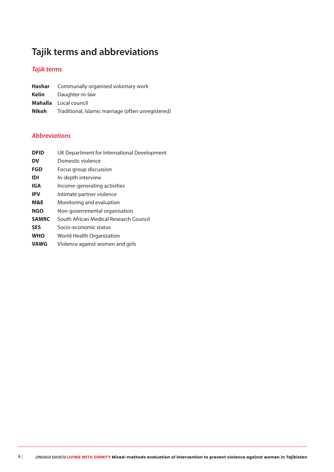## **Tajik terms and abbreviations**

### *Tajik terms*

|       | <b>Hashar</b> Communally organised voluntary work  |
|-------|----------------------------------------------------|
| Kelin | Daughter-in-law                                    |
|       | <b>Mahalla</b> Local council                       |
| Nikoh | Traditional, Islamic marriage (often unregistered) |

#### *Abbreviations*

| <b>DFID</b>  | UK Department for International Development |
|--------------|---------------------------------------------|
| DV           | Domestic violence                           |
| FGD          | Focus group discussion                      |
| IDI          | In-depth interview                          |
| IGA          | Income-generating activities                |
| <b>IPV</b>   | Intimate partner violence                   |
| M&E          | Monitoring and evaluation                   |
| <b>NGO</b>   | Non-governmental organisation               |
| <b>SAMRC</b> | South African Medical Research Council      |
| <b>SES</b>   | Socio-economic status                       |
| <b>WHO</b>   | World Health Organization                   |
| <b>VAWG</b>  | Violence against women and girls            |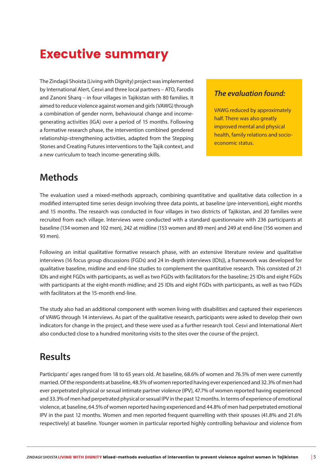# Executive summary

The Zindagii Shoista (Living with Dignity) project was implemented by International Alert, Cesvi and three local partners – ATO, Farodis and Zanoni Sharq – in four villages in Tajikistan with 80 families. It aimed to reduce violence against women and girls (VAWG) through a combination of gender norm, behavioural change and incomegenerating activities (IGA) over a period of 15 months. Following a formative research phase, the intervention combined gendered relationship-strengthening activities, adapted from the Stepping Stones and Creating Futures interventions to the Tajik context, and a new curriculum to teach income-generating skills.

#### *The evaluation found:*

VAWG reduced by approximately half. There was also greatly improved mental and physical health, family relations and socioeconomic status.

### **Methods**

The evaluation used a mixed-methods approach, combining quantitative and qualitative data collection in a modified interrupted time series design involving three data points, at baseline (pre-intervention), eight months and 15 months. The research was conducted in four villages in two districts of Tajikistan, and 20 families were recruited from each village. Interviews were conducted with a standard questionnaire with 236 participants at baseline (134 women and 102 men), 242 at midline (153 women and 89 men) and 249 at end-line (156 women and 93 men).

Following an initial qualitative formative research phase, with an extensive literature review and qualitative interviews (16 focus group discussions (FGDs) and 24 in-depth interviews (IDIs)), a framework was developed for qualitative baseline, midline and end-line studies to complement the quantitative research. This consisted of 21 IDIs and eight FGDs with participants, as well as two FGDs with facilitators for the baseline; 25 IDIs and eight FGDs with participants at the eight-month midline; and 25 IDIs and eight FGDs with participants, as well as two FGDs with facilitators at the 15-month end-line.

The study also had an additional component with women living with disabilities and captured their experiences of VAWG through 14 interviews. As part of the qualitative research, participants were asked to develop their own indicators for change in the project, and these were used as a further research tool. Cesvi and International Alert also conducted close to a hundred monitoring visits to the sites over the course of the project.

### **Results**

Participants' ages ranged from 18 to 65 years old. At baseline, 68.6% of women and 76.5% of men were currently married. Of the respondents at baseline, 48.5% of women reported having ever experienced and 32.3% of men had ever perpetrated physical or sexual intimate partner violence (IPV), 47.7% of women reported having experienced and 33.3% of men had perpetrated physical or sexual IPV in the past 12 months. In terms of experience of emotional violence, at baseline, 64.5% of women reported having experienced and 44.8% of men had perpetrated emotional IPV in the past 12 months. Women and men reported frequent quarrelling with their spouses (41.8% and 21.6% respectively) at baseline. Younger women in particular reported highly controlling behaviour and violence from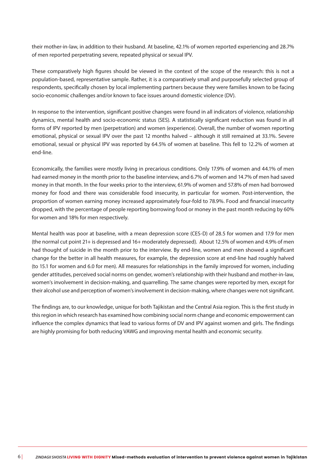their mother-in-law, in addition to their husband. At baseline, 42.1% of women reported experiencing and 28.7% of men reported perpetrating severe, repeated physical or sexual IPV.

These comparatively high figures should be viewed in the context of the scope of the research: this is not a population-based, representative sample. Rather, it is a comparatively small and purposefully selected group of respondents, specifically chosen by local implementing partners because they were families known to be facing socio-economic challenges and/or known to face issues around domestic violence (DV).

In response to the intervention, significant positive changes were found in all indicators of violence, relationship dynamics, mental health and socio-economic status (SES). A statistically significant reduction was found in all forms of IPV reported by men (perpetration) and women (experience). Overall, the number of women reporting emotional, physical or sexual IPV over the past 12 months halved – although it still remained at 33.1%. Severe emotional, sexual or physical IPV was reported by 64.5% of women at baseline. This fell to 12.2% of women at end-line.

Economically, the families were mostly living in precarious conditions. Only 17.9% of women and 44.1% of men had earned money in the month prior to the baseline interview, and 6.7% of women and 14.7% of men had saved money in that month. In the four weeks prior to the interview, 61.9% of women and 57.8% of men had borrowed money for food and there was considerable food insecurity, in particular for women. Post-intervention, the proportion of women earning money increased approximately four-fold to 78.9%. Food and financial insecurity dropped, with the percentage of people reporting borrowing food or money in the past month reducing by 60% for women and 18% for men respectively.

Mental health was poor at baseline, with a mean depression score (CES-D) of 28.5 for women and 17.9 for men (the normal cut point 21+ is depressed and 16+ moderately depressed). About 12.5% of women and 4.9% of men had thought of suicide in the month prior to the interview. By end-line, women and men showed a significant change for the better in all health measures, for example, the depression score at end-line had roughly halved (to 15.1 for women and 6.0 for men). All measures for relationships in the family improved for women, including gender attitudes, perceived social norms on gender, women's relationship with their husband and mother-in-law, women's involvement in decision-making, and quarrelling. The same changes were reported by men, except for their alcohol use and perception of women's involvement in decision-making, where changes were not significant.

The findings are, to our knowledge, unique for both Tajikistan and the Central Asia region. This is the first study in this region in which research has examined how combining social norm change and economic empowerment can influence the complex dynamics that lead to various forms of DV and IPV against women and girls. The findings are highly promising for both reducing VAWG and improving mental health and economic security.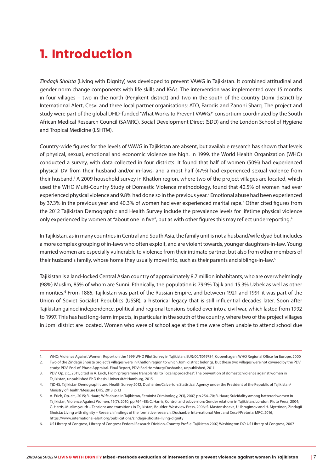# 1. Introduction

*Zindagii Shoista* (Living with Dignity) was developed to prevent VAWG in Tajikistan. It combined attitudinal and gender norm change components with life skills and IGAs. The intervention was implemented over 15 months in four villages – two in the north (Penjikent district) and two in the south of the country (Jomi district) by International Alert, Cesvi and three local partner organisations: ATO, Farodis and Zanoni Sharq. The project and study were part of the global DFID-funded 'What Works to Prevent VAWG?' consortium coordinated by the South African Medical Research Council (SAMRC), Social Development Direct (SDD) and the London School of Hygiene and Tropical Medicine (LSHTM).

Country-wide figures for the levels of VAWG in Tajikistan are absent, but available research has shown that levels of physical, sexual, emotional and economic violence are high. In 1999, the World Health Organization (WHO) conducted a survey, with data collected in four districts. It found that half of women (50%) had experienced physical DV from their husband and/or in-laws, and almost half (47%) had experienced sexual violence from their husband.1 A 2009 household survey in Khatlon region, where two of the project villages are located, which used the WHO Multi-Country Study of Domestic Violence methodology, found that 40.5% of women had ever experienced physical violence and 9.8% had done so in the previous year.2 Emotional abuse had been experienced by 37.3% in the previous year and 40.3% of women had ever experienced marital rape.<sup>3</sup> Other cited figures from the 2012 Tajikistan Demographic and Health Survey include the prevalence levels for lifetime physical violence only experienced by women at "about one in five", but as with other figures this may reflect underreporting.<sup>4</sup>

In Tajikistan, as in many countries in Central and South Asia, the family unit is not a husband/wife dyad but includes a more complex grouping of in-laws who often exploit, and are violent towards, younger daughters-in-law. Young married women are especially vulnerable to violence from their intimate partner, but also from other members of their husband's family, whose home they usually move into, such as their parents and siblings-in-law.5

Tajikistan is a land-locked Central Asian country of approximately 8.7 million inhabitants, who are overwhelmingly (98%) Muslim, 85% of whom are Sunni. Ethnically, the population is 79.9% Tajik and 15.3% Uzbek as well as other minorities.6 From 1885, Tajikistan was part of the Russian Empire, and between 1921 and 1991 it was part of the Union of Soviet Socialist Republics (USSR), a historical legacy that is still influential decades later. Soon after Tajikistan gained independence, political and regional tensions boiled over into a civil war, which lasted from 1992 to 1997. This has had long-term impacts, in particular in the south of the country, where two of the project villages in Jomi district are located. Women who were of school age at the time were often unable to attend school due

<sup>1.</sup> WHO, Violence Against Women. Report on the 1999 WHO Pilot Survey in Tajikistan, EUR/00/5019784, Copenhagen: WHO Regional Office for Europe, 2000

<sup>2.</sup> Two of the Zindagii Shoista project's villages were in Khatlon region to which Jomi district belongs, but these two villages were not covered by the PDV study: PDV, End-of-Phase Appraisal. Final Report, PDV: Bad Homburg/Dushanbe, unpublished, 2011.

<sup>3.</sup> PDV, Op. cit., 2011, cited in A. Erich, From 'programme transplants' to 'local approaches': The prevention of domestic violence against women in Tajikistan, unpublished PhD thesis, Universität Hamburg, 2015

<sup>4.</sup> TjDHS, Tajikistan Demographic and Health Survey 2012, Dushanbe/Calverton: Statistical Agency under the President of the Republic of Tajikistan/ Ministry of Health/Measure DHS, 2013, p.13

<sup>5.</sup> A. Erich, Op. cit., 2015; R. Haarr, Wife abuse in Tajikistan, Feminist Criminology, 2(3), 2007, pp.254–70; R. Haarr, Suicidality among battered women in Tajikistan, Violence Against Women, 16(7), 2010, pp.764–88; C. Harris, Control and subversion: Gender relations in Tajikistan, London: Pluto Press, 2004; C. Harris, Muslim youth – Tensions and transitions in Tajikistan, Boulder: Westview Press, 2006; S. Mastonshoeva, U. Ibragimov and H. Myrttinen, Zindagii Shoista: Living with dignity – Research findings of the formative research, Dushanbe: International Alert and Cesvi/Pretoria: MRC, 2016, https://www.international-alert.org/publications/zindagii-shoista-living-dignity

<sup>6.</sup> US Library of Congress, Library of Congress Federal Research Division, Country Profile: Tajikistan 2007, Washington DC: US Library of Congress, 2007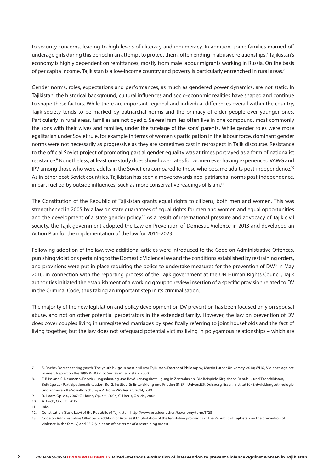to security concerns, leading to high levels of illiteracy and innumeracy. In addition, some families married off underage girls during this period in an attempt to protect them, often ending in abusive relationships.7 Tajikistan's economy is highly dependent on remittances, mostly from male labour migrants working in Russia. On the basis of per capita income, Tajikistan is a low-income country and poverty is particularly entrenched in rural areas.<sup>8</sup>

Gender norms, roles, expectations and performances, as much as gendered power dynamics, are not static. In Tajikistan, the historical background, cultural influences and socio-economic realities have shaped and continue to shape these factors. While there are important regional and individual differences overall within the country, Tajik society tends to be marked by patriarchal norms and the primacy of older people over younger ones. Particularly in rural areas, families are not dyadic. Several families often live in one compound, most commonly the sons with their wives and families, under the tutelage of the sons' parents. While gender roles were more egalitarian under Soviet rule, for example in terms of women's participation in the labour force, dominant gender norms were not necessarily as progressive as they are sometimes cast in retrospect in Tajik discourse. Resistance to the official Soviet project of promoting partial gender equality was at times portrayed as a form of nationalist resistance.<sup>9</sup> Nonetheless, at least one study does show lower rates for women ever having experienced VAWG and IPV among those who were adults in the Soviet era compared to those who became adults post-independence.<sup>10</sup> As in other post-Soviet countries, Tajikistan has seen a move towards neo-patriarchal norms post-independence, in part fuelled by outside influences, such as more conservative readings of Islam.<sup>11</sup>

The Constitution of the Republic of Tajikistan grants equal rights to citizens, both men and women. This was strengthened in 2005 by a law on state guarantees of equal rights for men and women and equal opportunities and the development of a state gender policy.<sup>12</sup> As a result of international pressure and advocacy of Tajik civil society, the Tajik government adopted the Law on Prevention of Domestic Violence in 2013 and developed an Action Plan for the implementation of the law for 2014–2023.

Following adoption of the law, two additional articles were introduced to the Code on Administrative Offences, punishing violations pertaining to the Domestic Violence law and the conditions established by restraining orders, and provisions were put in place requiring the police to undertake measures for the prevention of DV.<sup>13</sup> In May 2016, in connection with the reporting process of the Tajik government at the UN Human Rights Council, Tajik authorities initiated the establishment of a working group to review insertion of a specific provision related to DV in the Criminal Code, thus taking an important step in its criminalisation.

The majority of the new legislation and policy development on DV prevention has been focused only on spousal abuse, and not on other potential perpetrators in the extended family. However, the law on prevention of DV does cover couples living in unregistered marriages by specifically referring to joint households and the fact of living together, but the law does not safeguard potential victims living in polygamous relationships – which are

<sup>7.</sup> S. Roche, Domesticating youth: The youth bulge in post-civil war Tajikistan, Doctor of Philosophy, Martin Luther University, 2010; WHO, Violence against women, Report on the 1999 WHO Pilot Survey in Tajikistan, 2000

<sup>8.</sup> F. Bliss and S. Neumann, Entwicklungsplanung und Bevölkerungsbeteiligung in Zentralasien. Die Beispiele Kirgisische Republik und Tadschikistan, Beiträge zur Partizipationsdiskussion, Bd. 2, Institut für Entwicklung und Frieden (INEF), Universität Duisburg-Essen, Institut für Entwicklungsethnologie und angewandte Sozialforschung e.V., Bonn PAS Verlag, 2014, p.40

<sup>9.</sup> R. Haarr, Op. cit., 2007; C. Harris, Op. cit., 2004; C. Harris, Op. cit., 2006

<sup>10.</sup> A. Erich, Op. cit., 2015

<sup>11.</sup> Ibid.

<sup>12.</sup> Constitution (Basic Law) of the Republic of Tajikistan, http://www.president.tj/en/taxonomy/term/5/28

<sup>13.</sup> Code on Administrative Offences – addition of Articles 93.1 (Violation of the legislative provisions of the Republic of Tajikistan on the prevention of violence in the family) and 93.2 (violation of the terms of a restraining order)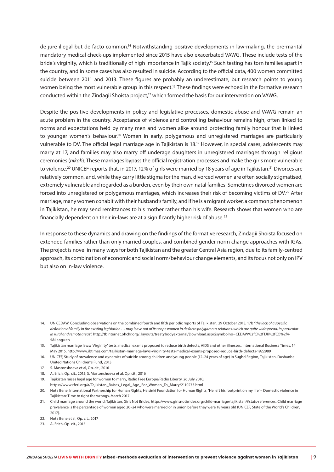de jure illegal but de facto common.14 Notwithstanding positive developments in law-making, the pre-marital mandatory medical check-ups implemented since 2015 have also exacerbated VAWG. These include tests of the bride's virginity, which is traditionally of high importance in Tajik society.15 Such testing has torn families apart in the country, and in some cases has also resulted in suicide. According to the official data, 400 women committed suicide between 2011 and 2013. These figures are probably an underestimate, but research points to young women being the most vulnerable group in this respect.<sup>16</sup> These findings were echoed in the formative research conducted within the Zindagii Shoista project,<sup>17</sup> which formed the basis for our intervention on VAWG.

Despite the positive developments in policy and legislative processes, domestic abuse and VAWG remain an acute problem in the country. Acceptance of violence and controlling behaviour remains high, often linked to norms and expectations held by many men and women alike around protecting family honour that is linked to younger women's behaviour.<sup>18</sup> Women in early, polygamous and unregistered marriages are particularly vulnerable to DV. The official legal marriage age in Tajikistan is 18.19 However, in special cases, adolescents may marry at 17, and families may also marry off underage daughters in unregistered marriages through religious ceremonies (*nikoh*). These marriages bypass the official registration processes and make the girls more vulnerable to violence.<sup>20</sup> UNICEF reports that, in 2017, 12% of girls were married by 18 years of age in Tajikistan.<sup>21</sup> Divorces are relatively common, and, while they carry little stigma for the man, divorced women are often socially stigmatised, extremely vulnerable and regarded as a burden, even by their own natal families. Sometimes divorced women are forced into unregistered or polygamous marriages, which increases their risk of becoming victims of DV.22 After marriage, many women cohabit with their husband's family, and if he is a migrant worker, a common phenomenon in Tajikistan, he may send remittances to his mother rather than his wife. Research shows that women who are financially dependent on their in-laws are at a significantly higher risk of abuse.<sup>23</sup>

In response to these dynamics and drawing on the findings of the formative research, Zindagii Shoista focused on extended families rather than only married couples, and combined gender norm change approaches with IGAs. The project is novel in many ways for both Tajikistan and the greater Central Asia region, due to its family-centred approach, its combination of economic and social norm/behaviour change elements, and its focus not only on IPV but also on in-law violence.

- 18. A. Erich, Op. cit., 2015; S. Mastonshoeva et al, Op. cit., 2016
- 19. Tajikistan raises legal age for women to marry, Radio Free Europe/Radio Liberty, 26 July 2010,
- https://www.rferl.org/a/Tajikistan\_Raises\_Legal\_Age\_For\_Women\_To\_Marry/2110273.html

<sup>14.</sup> UN CEDAW, Concluding observations on the combined fourth and fifth periodic reports of Tajikistan, 29 October 2013, 17b *"the lack of a specific definition of family in the existing legislation . . . may leave out of its scope women in de facto polygamous relations, which are quite widespread, in particular in rural and remote areas"*, http://tbinternet.ohchr.org/\_layouts/treatybodyexternal/Download.aspx?symbolno=CEDAW%2fC%2fTJK%2fCO%2f4- 5&Lang=en

<sup>15.</sup> Tajikistan marriage laws: 'Virginity' tests, medical exams proposed to reduce birth defects, AIDS and other illnesses, International Business Times, 14 May 2015, http://www.ibtimes.com/tajikistan-marriage-laws-virginity-tests-medical-exams-proposed-reduce-birth-defects-1922989

<sup>16.</sup> UNICEF, Study of prevalence and dynamics of suicide among children and young people (12–24 years of age) in Sughd Region, Tajikistan, Dushanbe: United Nations Children's Fund, 2013

<sup>17.</sup> S. Mastonshoeva et al, Op. cit., 2016

<sup>20.</sup> Nota Bene, International Partnership for Human Rights, Helsinki Foundation for Human Rights, 'He left his footprint on my life' – Domestic violence in Tajikistan: Time to right the wrongs, March 2017

<sup>21.</sup> Child marriage around the world: Tajikistan, Girls Not Brides, https://www.girlsnotbrides.org/child-marriage/tajikistan/#stats-references. Child marriage prevalence is the percentage of women aged 20–24 who were married or in union before they were 18 years old (UNICEF, State of the World's Children, 2017).

<sup>22.</sup> Nota Bene et al, Op. cit., 2017

<sup>23.</sup> A. Erich, Op. cit., 2015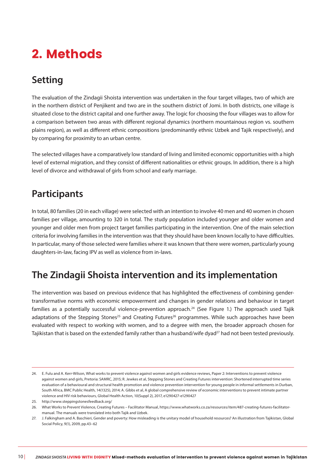# 2. Methods

### **Setting**

The evaluation of the Zindagii Shoista intervention was undertaken in the four target villages, two of which are in the northern district of Penjikent and two are in the southern district of Jomi. In both districts, one village is situated close to the district capital and one further away. The logic for choosing the four villages was to allow for a comparison between two areas with different regional dynamics (northern mountainous region vs. southern plains region), as well as different ethnic compositions (predominantly ethnic Uzbek and Tajik respectively), and by comparing for proximity to an urban centre.

The selected villages have a comparatively low standard of living and limited economic opportunities with a high level of external migration, and they consist of different nationalities or ethnic groups. In addition, there is a high level of divorce and withdrawal of girls from school and early marriage.

### **Participants**

In total, 80 families (20 in each village) were selected with an intention to involve 40 men and 40 women in chosen families per village, amounting to 320 in total. The study population included younger and older women and younger and older men from project target families participating in the intervention. One of the main selection criteria for involving families in the intervention was that they should have been known locally to have difficulties. In particular, many of those selected were families where it was known that there were women, particularly young daughters-in-law, facing IPV as well as violence from in-laws.

### **The Zindagii Shoista intervention and its implementation**

The intervention was based on previous evidence that has highlighted the effectiveness of combining gendertransformative norms with economic empowerment and changes in gender relations and behaviour in target families as a potentially successful violence-prevention approach.<sup>24</sup> (See Figure 1.) The approach used Tajik adaptations of the Stepping Stones<sup>25</sup> and Creating Futures<sup>26</sup> programmes. While such approaches have been evaluated with respect to working with women, and to a degree with men, the broader approach chosen for Tajikistan that is based on the extended family rather than a husband/wife dyad<sup>27</sup> had not been tested previously.

<sup>24.</sup> E. Fulu and A. Kerr-Wilson, What works to prevent violence against women and girls evidence reviews, Paper 2: Interventions to prevent violence against women and girls, Pretoria: SAMRC, 2015; R. Jewkes et al, Stepping Stones and Creating Futures intervention: Shortened interrupted time series evaluation of a behavioural and structural health promotion and violence prevention intervention for young people in informal settlements in Durban, South Africa, BMC Public Health, 14(1325), 2014; A. Gibbs et al, A global comprehensive review of economic interventions to prevent intimate partner violence and HIV risk behaviours, Global Health Action, 10(Suppl 2), 2017, e1290427-e1290427

<sup>25.</sup> http://www.steppingstonesfeedback.org/

<sup>26.</sup> What Works to Prevent Violence, Creating Futures – Facilitator Manual, https://www.whatworks.co.za/resources/item/487-creating-futures-facilitatormanual. The manuals were translated into both Tajik and Uzbek.

<sup>27.</sup> J. Falkingham and A. Baschieri, Gender and poverty: How misleading is the unitary model of household resources? An illustration from Tajikistan, Global Social Policy, 9(1), 2009, pp.43–62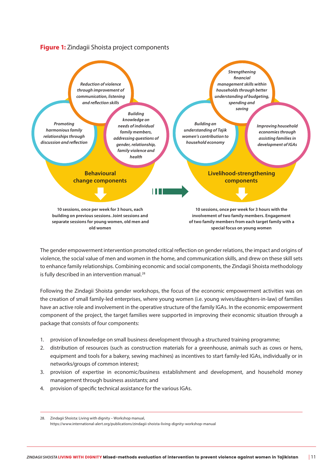#### **Figure 1:** Zindagii Shoista project components



The gender empowerment intervention promoted critical reflection on gender relations, the impact and origins of violence, the social value of men and women in the home, and communication skills, and drew on these skill sets to enhance family relationships. Combining economic and social components, the Zindagii Shoista methodology is fully described in an intervention manual.<sup>28</sup>

Following the Zindagii Shoista gender workshops, the focus of the economic empowerment activities was on the creation of small family-led enterprises, where young women (i.e. young wives/daughters-in-law) of families have an active role and involvement in the operative structure of the family IGAs. In the economic empowerment component of the project, the target families were supported in improving their economic situation through a package that consists of four components:

- 1. provision of knowledge on small business development through a structured training programme;
- 2. distribution of resources (such as construction materials for a greenhouse, animals such as cows or hens, equipment and tools for a bakery, sewing machines) as incentives to start family-led IGAs, individually or in networks/groups of common interest;
- 3. provision of expertise in economic/business establishment and development, and household money management through business assistants; and
- 4. provision of specific technical assistance for the various IGAs.

<sup>28.</sup> Zindagii Shoista: Living with dignity – Workshop manual, https://www.international-alert.org/publications/zindagii-shoista-living-dignity-workshop-manual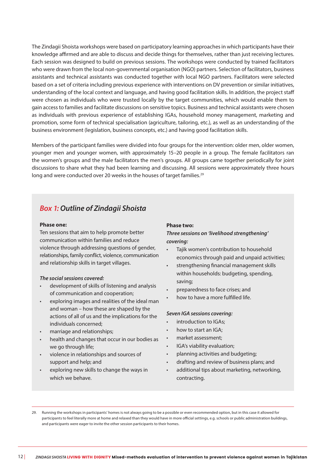The Zindagii Shoista workshops were based on participatory learning approaches in which participants have their knowledge affirmed and are able to discuss and decide things for themselves, rather than just receiving lectures. Each session was designed to build on previous sessions. The workshops were conducted by trained facilitators who were drawn from the local non-governmental organisation (NGO) partners. Selection of facilitators, business assistants and technical assistants was conducted together with local NGO partners. Facilitators were selected based on a set of criteria including previous experience with interventions on DV prevention or similar initiatives, understanding of the local context and language, and having good facilitation skills. In addition, the project staff were chosen as individuals who were trusted locally by the target communities, which would enable them to gain access to families and facilitate discussions on sensitive topics. Business and technical assistants were chosen as individuals with previous experience of establishing IGAs, household money management, marketing and promotion, some form of technical specialisation (agriculture, tailoring, etc.), as well as an understanding of the business environment (legislation, business concepts, etc.) and having good facilitation skills.

Members of the participant families were divided into four groups for the intervention: older men, older women, younger men and younger women, with approximately 15–20 people in a group. The female facilitators ran the women's groups and the male facilitators the men's groups. All groups came together periodically for joint discussions to share what they had been learning and discussing. All sessions were approximately three hours long and were conducted over 20 weeks in the houses of target families.<sup>29</sup>

#### *Box 1: Outline of Zindagii Shoista*

#### **Phase one:**

Ten sessions that aim to help promote better communication within families and reduce violence through addressing questions of gender, relationships, family conflict, violence, communication and relationship skills in target villages.

#### *The social sessions covered:*

- development of skills of listening and analysis of communication and cooperation;
- exploring images and realities of the ideal man and woman – how these are shaped by the actions of all of us and the implications for the individuals concerned;
- marriage and relationships;
- health and changes that occur in our bodies as we go through life;
- violence in relationships and sources of support and help; and
- exploring new skills to change the ways in which we behave.

#### **Phase two:**

#### *Three sessions on 'livelihood strengthening' covering:*

- Tajik women's contribution to household economics through paid and unpaid activities;
- strengthening financial management skills within households: budgeting, spending, saving;
- preparedness to face crises; and
- how to have a more fulfilled life.

#### *Seven IGA sessions covering:*

- introduction to IGAs;
- how to start an IGA:
- market assessment;
- IGA's viability evaluation;
- planning activities and budgeting;
- drafting and review of business plans; and
- additional tips about marketing, networking, contracting.

29. Running the workshops in participants' homes is not always going to be a possible or even recommended option, but in this case it allowed for participants to feel literally more at home and relaxed than they would have in more official settings, e.g. schools or public administration buildings, and participants were eager to invite the other session participants to their homes.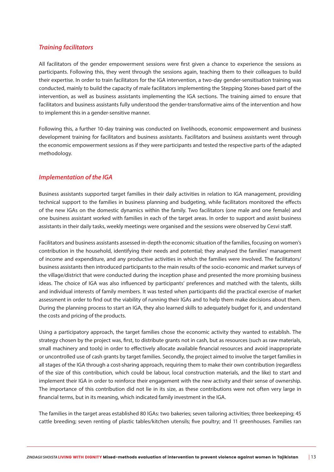#### *Training facilitators*

All facilitators of the gender empowerment sessions were first given a chance to experience the sessions as participants. Following this, they went through the sessions again, teaching them to their colleagues to build their expertise. In order to train facilitators for the IGA intervention, a two-day gender-sensitisation training was conducted, mainly to build the capacity of male facilitators implementing the Stepping Stones-based part of the intervention, as well as business assistants implementing the IGA sections. The training aimed to ensure that facilitators and business assistants fully understood the gender-transformative aims of the intervention and how to implement this in a gender-sensitive manner.

Following this, a further 10-day training was conducted on livelihoods, economic empowerment and business development training for facilitators and business assistants. Facilitators and business assistants went through the economic empowerment sessions as if they were participants and tested the respective parts of the adapted methodology.

#### *Implementation of the IGA*

Business assistants supported target families in their daily activities in relation to IGA management, providing technical support to the families in business planning and budgeting, while facilitators monitored the effects of the new IGAs on the domestic dynamics within the family. Two facilitators (one male and one female) and one business assistant worked with families in each of the target areas. In order to support and assist business assistants in their daily tasks, weekly meetings were organised and the sessions were observed by Cesvi staff.

Facilitators and business assistants assessed in-depth the economic situation of the families, focusing on women's contribution in the household, identifying their needs and potential; they analysed the families' management of income and expenditure, and any productive activities in which the families were involved. The facilitators/ business assistants then introduced participants to the main results of the socio-economic and market surveys of the village/district that were conducted during the inception phase and presented the more promising business ideas. The choice of IGA was also influenced by participants' preferences and matched with the talents, skills and individual interests of family members. It was tested when participants did the practical exercise of market assessment in order to find out the viability of running their IGAs and to help them make decisions about them. During the planning process to start an IGA, they also learned skills to adequately budget for it, and understand the costs and pricing of the products.

Using a participatory approach, the target families chose the economic activity they wanted to establish. The strategy chosen by the project was, first, to distribute grants not in cash, but as resources (such as raw materials, small machinery and tools) in order to effectively allocate available financial resources and avoid inappropriate or uncontrolled use of cash grants by target families. Secondly, the project aimed to involve the target families in all stages of the IGA through a cost-sharing approach, requiring them to make their own contribution (regardless of the size of this contribution, which could be labour, local construction materials, and the like) to start and implement their IGA in order to reinforce their engagement with the new activity and their sense of ownership. The importance of this contribution did not lie in its size, as these contributions were not often very large in financial terms, but in its meaning, which indicated family investment in the IGA.

The families in the target areas established 80 IGAs: two bakeries; seven tailoring activities; three beekeeping; 45 cattle breeding; seven renting of plastic tables/kitchen utensils; five poultry; and 11 greenhouses. Families ran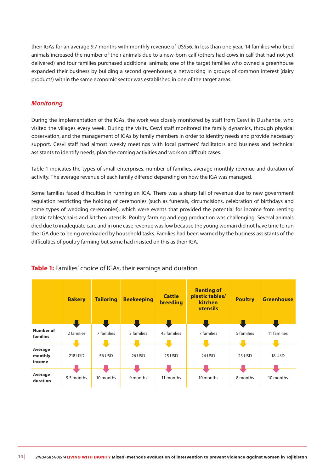their IGAs for an average 9.7 months with monthly revenue of US\$56. In less than one year, 14 families who bred animals increased the number of their animals due to a new-born calf (others had cows in calf that had not yet delivered) and four families purchased additional animals; one of the target families who owned a greenhouse expanded their business by building a second greenhouse; a networking in groups of common interest (dairy products) within the same economic sector was established in one of the target areas.

#### *Monitoring*

During the implementation of the IGAs, the work was closely monitored by staff from Cesvi in Dushanbe, who visited the villages every week. During the visits, Cesvi staff monitored the family dynamics, through physical observation, and the management of IGAs by family members in order to identify needs and provide necessary support. Cesvi staff had almost weekly meetings with local partners' facilitators and business and technical assistants to identify needs, plan the coming activities and work on difficult cases.

Table 1 indicates the types of small enterprises, number of families, average monthly revenue and duration of activity. The average revenue of each family differed depending on how the IGA was managed.

Some families faced difficulties in running an IGA. There was a sharp fall of revenue due to new government regulation restricting the holding of ceremonies (such as funerals, circumcisions, celebration of birthdays and some types of wedding ceremonies), which were events that provided the potential for income from renting plastic tables/chairs and kitchen utensils. Poultry farming and egg production was challenging. Several animals died due to inadequate care and in one case revenue was low because the young woman did not have time to run the IGA due to being overloaded by household tasks. Families had been warned by the business assistants of the difficulties of poultry farming but some had insisted on this as their IGA.



#### **Table 1:** Families' choice of IGAs, their earnings and duration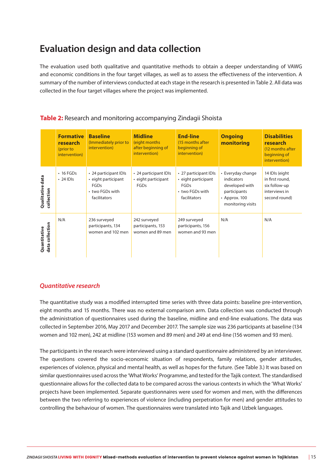### **Evaluation design and data collection**

The evaluation used both qualitative and quantitative methods to obtain a deeper understanding of VAWG and economic conditions in the four target villages, as well as to assess the effectiveness of the intervention. A summary of the number of interviews conducted at each stage in the research is presented in Table 2. All data was collected in the four target villages where the project was implemented.

|                                    | <b>Formative</b><br>research<br>(prior to<br>intervention) | <b>Baseline</b><br>(Immediately prior to<br>intervention)                                      | <b>Midline</b><br>(eight months)<br>after beginning of<br>intervention) | <b>End-line</b><br>(15 months after<br>beginning of<br>intervention)                    | <b>Ongoing</b><br>monitoring                                                                                  | <b>Disabilities</b><br>research<br>(12 months after<br>beginning of<br>intervention) |
|------------------------------------|------------------------------------------------------------|------------------------------------------------------------------------------------------------|-------------------------------------------------------------------------|-----------------------------------------------------------------------------------------|---------------------------------------------------------------------------------------------------------------|--------------------------------------------------------------------------------------|
| Qualitative data<br>collection     | $\cdot$ 16 FGDs<br>$\cdot$ 24 IDIs                         | • 24 participant IDIs<br>· eight participant<br><b>FGDs</b><br>• two FGDs with<br>facilitators | • 24 participant IDIs<br>• eight participant<br>FGDs                    | • 27 participant IDIs<br>• eight participant<br>FGDs<br>• two FGDs with<br>facilitators | • Everyday change<br>indicators<br>developed with<br>participants<br>$\cdot$ Approx. 100<br>monitoring visits | 14 IDIs (eight<br>in first round,<br>six follow-up<br>interviews in<br>second round) |
| collection<br>Quantitative<br>data | N/A                                                        | 236 surveyed<br>participants, 134<br>women and 102 men                                         | 242 surveyed<br>participants, 153<br>women and 89 men                   | 249 surveyed<br>participants, 156<br>women and 93 men                                   | N/A                                                                                                           | N/A                                                                                  |

#### **Table 2:** Research and monitoring accompanying Zindagii Shoista

#### *Quantitative research*

The quantitative study was a modified interrupted time series with three data points: baseline pre-intervention, eight months and 15 months. There was no external comparison arm. Data collection was conducted through the administration of questionnaires used during the baseline, midline and end-line evaluations. The data was collected in September 2016, May 2017 and December 2017. The sample size was 236 participants at baseline (134 women and 102 men), 242 at midline (153 women and 89 men) and 249 at end-line (156 women and 93 men).

The participants in the research were interviewed using a standard questionnaire administered by an interviewer. The questions covered the socio-economic situation of respondents, family relations, gender attitudes, experiences of violence, physical and mental health, as well as hopes for the future. (See Table 3.) It was based on similar questionnaires used across the 'What Works' Programme, and tested for the Tajik context. The standardised questionnaire allows for the collected data to be compared across the various contexts in which the 'What Works' projects have been implemented. Separate questionnaires were used for women and men, with the differences between the two referring to experiences of violence (including perpetration for men) and gender attitudes to controlling the behaviour of women. The questionnaires were translated into Tajik and Uzbek languages.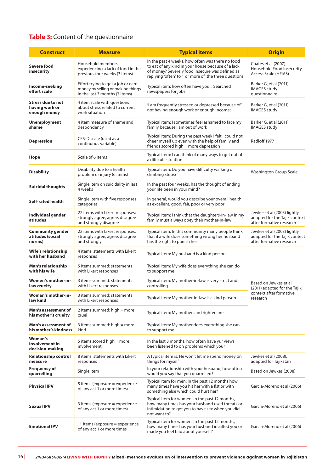### **Table 3:** Content of the questionnaire

| <b>Construct</b>                                           | <b>Measure</b>                                                                                            | <b>Typical items</b>                                                                                                                                                                                              | <b>Origin</b>                                                                            |
|------------------------------------------------------------|-----------------------------------------------------------------------------------------------------------|-------------------------------------------------------------------------------------------------------------------------------------------------------------------------------------------------------------------|------------------------------------------------------------------------------------------|
| Severe food<br>insecurity                                  | Household members<br>experiencing a lack of food in the<br>previous four weeks (3 items)                  | In the past 4 weeks, how often was there no food<br>to eat of any kind in your house because of a lack<br>of money? Severely food insecure was defined as<br>replying 'often' to 1 or more of the three questions | Coates et al (2007)<br>Household Food Insecurity<br>Access Scale (HFIAS)                 |
| Income-seeking<br>effort scale                             | Effort trying to get a job or earn<br>money by selling or making things<br>in the last 3 months (7 items) | Typical item: how often have you Searched<br>newspapers for jobs                                                                                                                                                  | Barker G, et al (2011)<br><b>IMAGES study</b><br>questionnaire.                          |
| <b>Stress due to not</b><br>having work or<br>enough money | 4 item scale with questions<br>about stress related to current<br>work situation                          | 'I am frequently stressed or depressed because of'<br>not having enough work or enough income;                                                                                                                    | Barker G, et al (2011)<br><b>IMAGES study</b>                                            |
| <b>Unemployment</b><br>shame                               | 4 item measure of shame and<br>despondency                                                                | Typical item: I sometimes feel ashamed to face my<br>family because I am out of work                                                                                                                              | Barker G, et al (2011)<br><b>IMAGES study</b>                                            |
| <b>Depression</b>                                          | CES-D scale (used as a<br>continuous variable)                                                            | Typical item: During the past week I felt I could not<br>cheer myself up even with the help of family and<br>friends scored high = more depression                                                                | Radloff 1977                                                                             |
| Hope                                                       | Scale of 6 items                                                                                          | Typical item: I can think of many ways to get out of<br>a difficult situation                                                                                                                                     |                                                                                          |
| <b>Disability</b>                                          | Disability due to a health<br>problem or injury (6 items)                                                 | Typical item: Do you have difficulty walking or<br>climbing steps?                                                                                                                                                | <b>Washington Group Scale</b>                                                            |
| <b>Suicidal thoughts</b>                                   | Single item on suicidality in last<br>4 weeks                                                             | In the past four weeks, has the thought of ending<br>your life been in your mind?                                                                                                                                 |                                                                                          |
| Self-rated health                                          | Single item with five responses<br>categories                                                             | In general, would you describe your overall health<br>as excellent, good, fair, poor or very poor                                                                                                                 |                                                                                          |
| Individual gender<br>atitudes                              | 22 items with Likert responses:<br>strongly agree, agree, disagree<br>and strongly disagree               | Typical item: I think that the daughters-in-law in my<br>family must always obey their mother-in-law                                                                                                              | Jewkes et al (2003) lightly<br>adapted for the Tajik context<br>after formative research |
| <b>Community gender</b><br>atitudes (social<br>norms)      | 22 items with Likert responses:<br>strongly agree, agree, disagree<br>and strongly                        | Typical item: In this community many people think<br>that if a wife does something wrong her husband<br>has the right to punish her                                                                               | Jewkes et al (2003) lightly<br>adapted for the Tajik contect<br>after formative research |
| Wife's relationship<br>with her husband                    | 4 items, statements with Likert<br>responses                                                              | Typical item: My husband is a kind person                                                                                                                                                                         |                                                                                          |
| Man's relationship<br>with his wife                        | 5 items summed: statements<br>with Likert responses                                                       | Typical item: My wife does everything she can do<br>to support me                                                                                                                                                 |                                                                                          |
| <b>Women's mother-in-</b><br>law cruelty                   | 3 items summed: statements<br>with Likert responses                                                       | Typical item: My mother-in-law is very strict and<br>controlling                                                                                                                                                  | Based on Jewkes et al<br>(2011) adapted for the Tajik                                    |
| <b>Woman's mother-in-</b><br>law kind                      | 3 items summed: statements<br>with Likert responses                                                       | Typical item: My mother-in-law is a kind person                                                                                                                                                                   | context after formative<br>research                                                      |
| Man's assessment of<br>his mother's cruelty                | 2 items summed: $high = more$<br>cruel                                                                    | Typical item: My mother can frighten me.                                                                                                                                                                          |                                                                                          |
| Man's assessment of<br>his mother's kindness               | 3 items summed: high = more<br>kind                                                                       | Typical item: My mother does everything she can<br>to support me                                                                                                                                                  |                                                                                          |
| <b>Woman's</b><br>involvement in<br>decision-making        | 5 items scored high = more<br>involvement                                                                 | In the last 3 months, how often have yur views<br>been listened to on problems which your                                                                                                                         |                                                                                          |
| <b>Relationship control</b><br>measure                     | 8 items, statements with Likert<br>responses                                                              | A typical item is: He won't let me spend money on<br>things for myself                                                                                                                                            | Jewkes et al (2008),<br>adapted for Tajikstan                                            |
| Frequency of<br>quarrelling                                | Single item                                                                                               | In your relationship with your husband, how often<br>would you say that you quarrelled?                                                                                                                           | Based on Jewkes (2008)                                                                   |
| <b>Physical IPV</b>                                        | 5 items (exposure $=$ experience<br>of any act 1 or more times)                                           | Typical item for men: In the past 12 months how<br>many times have you hit her with a fist or with<br>something else which could hurt her?                                                                        | Garcia-Moreno et al (2006)                                                               |
| <b>Sexual IPV</b>                                          | 3 items (exposure = experience<br>of any act 1 or more times)                                             | Typical item for women: In the past 12 months,<br>how many times has your husband used threats or<br>intimidation to get you to have sex when you did<br>not want to?                                             | Garcia-Moreno et al (2006)                                                               |
| <b>Emotional IPV</b>                                       | 11 items (exposure $=$ experience<br>of any act 1 or more times                                           | Typical item for women: In the past 12 months,<br>how many times has your husband insulted you or<br>made you feel bad about yourself?                                                                            | Garcia-Moreno et al (2006)                                                               |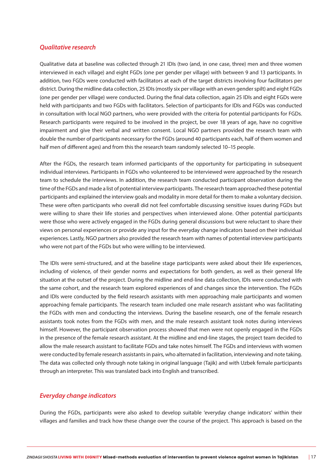#### *Qualitative research*

Qualitative data at baseline was collected through 21 IDIs (two (and, in one case, three) men and three women interviewed in each village) and eight FGDs (one per gender per village) with between 9 and 13 participants. In addition, two FGDs were conducted with facilitators at each of the target districts involving four facilitators per district. During the midline data collection, 25 IDIs (mostly six per village with an even gender spilt) and eight FGDs (one per gender per village) were conducted. During the final data collection, again 25 IDIs and eight FGDs were held with participants and two FGDs with facilitators. Selection of participants for IDIs and FGDs was conducted in consultation with local NGO partners, who were provided with the criteria for potential participants for FGDs. Research participants were required to be involved in the project, be over 18 years of age, have no cognitive impairment and give their verbal and written consent. Local NGO partners provided the research team with double the number of participants necessary for the FGDs (around 40 participants each, half of them women and half men of different ages) and from this the research team randomly selected 10-15 people.

After the FGDs, the research team informed participants of the opportunity for participating in subsequent individual interviews. Participants in FGDs who volunteered to be interviewed were approached by the research team to schedule the interviews. In addition, the research team conducted participant observation during the time of the FGDs and made a list of potential interview participants. The research team approached these potential participants and explained the interview goals and modality in more detail for them to make a voluntary decision. These were often participants who overall did not feel comfortable discussing sensitive issues during FGDs but were willing to share their life stories and perspectives when interviewed alone. Other potential participants were those who were actively engaged in the FGDs during general discussions but were reluctant to share their views on personal experiences or provide any input for the everyday change indicators based on their individual experiences. Lastly, NGO partners also provided the research team with names of potential interview participants who were not part of the FGDs but who were willing to be interviewed.

The IDIs were semi-structured, and at the baseline stage participants were asked about their life experiences, including of violence, of their gender norms and expectations for both genders, as well as their general life situation at the outset of the project. During the midline and end-line data collection, IDIs were conducted with the same cohort, and the research team explored experiences of and changes since the intervention. The FGDs and IDIs were conducted by the field research assistants with men approaching male participants and women approaching female participants. The research team included one male research assistant who was facilitating the FGDs with men and conducting the interviews. During the baseline research, one of the female research assistants took notes from the FGDs with men, and the male research assistant took notes during interviews himself. However, the participant observation process showed that men were not openly engaged in the FGDs in the presence of the female research assistant. At the midline and end-line stages, the project team decided to allow the male research assistant to facilitate FGDs and take notes himself. The FGDs and interviews with women were conducted by female research assistants in pairs, who alternated in facilitation, interviewing and note taking. The data was collected only through note taking in original language (Tajik) and with Uzbek female participants through an interpreter. This was translated back into English and transcribed.

#### *Everyday change indicators*

During the FGDs, participants were also asked to develop suitable 'everyday change indicators' within their villages and families and track how these change over the course of the project. This approach is based on the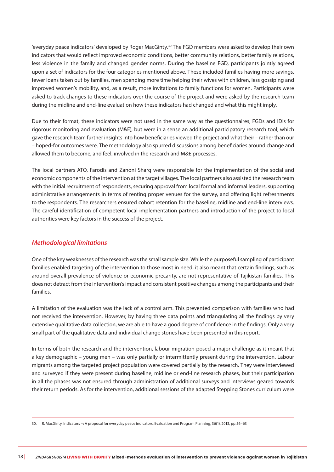'everyday peace indicators' developed by Roger MacGinty.30 The FGD members were asked to develop their own indicators that would reflect improved economic conditions, better community relations, better family relations, less violence in the family and changed gender norms. During the baseline FGD, participants jointly agreed upon a set of indicators for the four categories mentioned above. These included families having more savings, fewer loans taken out by families, men spending more time helping their wives with children, less gossiping and improved women's mobility, and, as a result, more invitations to family functions for women. Participants were asked to track changes to these indicators over the course of the project and were asked by the research team during the midline and end-line evaluation how these indicators had changed and what this might imply.

Due to their format, these indicators were not used in the same way as the questionnaires, FGDs and IDIs for rigorous monitoring and evaluation (M&E), but were in a sense an additional participatory research tool, which gave the research team further insights into how beneficiaries viewed the project and what their – rather than our – hoped-for outcomes were. The methodology also spurred discussions among beneficiaries around change and allowed them to become, and feel, involved in the research and M&E processes.

The local partners ATO, Farodis and Zanoni Sharq were responsible for the implementation of the social and economic components of the intervention at the target villages. The local partners also assisted the research team with the initial recruitment of respondents, securing approval from local formal and informal leaders, supporting administrative arrangements in terms of renting proper venues for the survey, and offering light refreshments to the respondents. The researchers ensured cohort retention for the baseline, midline and end-line interviews. The careful identification of competent local implementation partners and introduction of the project to local authorities were key factors in the success of the project.

#### *Methodological limitations*

One of the key weaknesses of the research was the small sample size. While the purposeful sampling of participant families enabled targeting of the intervention to those most in need, it also meant that certain findings, such as around overall prevalence of violence or economic precarity, are not representative of Tajikistan families. This does not detract from the intervention's impact and consistent positive changes among the participants and their families.

A limitation of the evaluation was the lack of a control arm. This prevented comparison with families who had not received the intervention. However, by having three data points and triangulating all the findings by very extensive qualitative data collection, we are able to have a good degree of confidence in the findings. Only a very small part of the qualitative data and individual change stories have been presented in this report.

In terms of both the research and the intervention, labour migration posed a major challenge as it meant that a key demographic – young men – was only partially or intermittently present during the intervention. Labour migrants among the targeted project population were covered partially by the research. They were interviewed and surveyed if they were present during baseline, midline or end-line research phases, but their participation in all the phases was not ensured through administration of additional surveys and interviews geared towards their return periods. As for the intervention, additional sessions of the adapted Stepping Stones curriculum were

<sup>30.</sup> R. MacGinty, Indicators +: A proposal for everyday peace indicators, Evaluation and Program Planning, 36(1), 2013, pp.56–63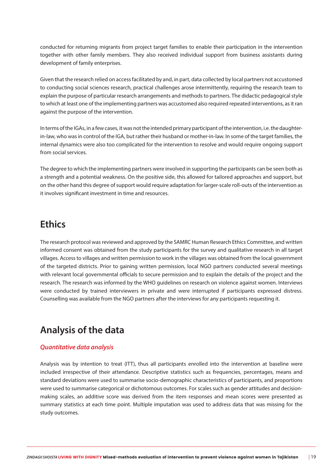conducted for returning migrants from project target families to enable their participation in the intervention together with other family members. They also received individual support from business assistants during development of family enterprises.

Given that the research relied on access facilitated by and, in part, data collected by local partners not accustomed to conducting social sciences research, practical challenges arose intermittently, requiring the research team to explain the purpose of particular research arrangements and methods to partners. The didactic pedagogical style to which at least one of the implementing partners was accustomed also required repeated interventions, as it ran against the purpose of the intervention.

In terms of the IGAs, in a few cases, it was not the intended primary participant of the intervention, i.e. the daughterin-law, who was in control of the IGA, but rather their husband or mother-in-law. In some of the target families, the internal dynamics were also too complicated for the intervention to resolve and would require ongoing support from social services.

The degree to which the implementing partners were involved in supporting the participants can be seen both as a strength and a potential weakness. On the positive side, this allowed for tailored approaches and support, but on the other hand this degree of support would require adaptation for larger-scale roll-outs of the intervention as it involves significant investment in time and resources.

### **Ethics**

The research protocol was reviewed and approved by the SAMRC Human Research Ethics Committee, and written informed consent was obtained from the study participants for the survey and qualitative research in all target villages. Access to villages and written permission to work in the villages was obtained from the local government of the targeted districts. Prior to gaining written permission, local NGO partners conducted several meetings with relevant local governmental officials to secure permission and to explain the details of the project and the research. The research was informed by the WHO guidelines on research on violence against women. Interviews were conducted by trained interviewers in private and were interrupted if participants expressed distress. Counselling was available from the NGO partners after the interviews for any participants requesting it.

### **Analysis of the data**

#### *Quantitative data analysis*

Analysis was by intention to treat (ITT), thus all participants enrolled into the intervention at baseline were included irrespective of their attendance. Descriptive statistics such as frequencies, percentages, means and standard deviations were used to summarise socio-demographic characteristics of participants, and proportions were used to summarise categorical or dichotomous outcomes. For scales such as gender attitudes and decisionmaking scales, an additive score was derived from the item responses and mean scores were presented as summary statistics at each time point. Multiple imputation was used to address data that was missing for the study outcomes.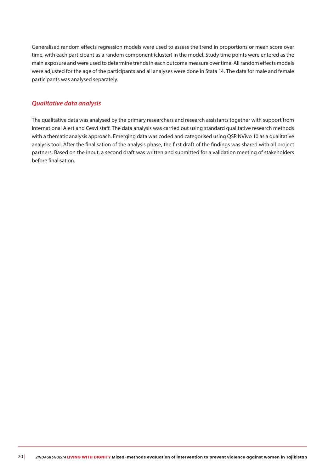Generalised random effects regression models were used to assess the trend in proportions or mean score over time, with each participant as a random component (cluster) in the model. Study time points were entered as the main exposure and were used to determine trends in each outcome measure over time. All random effects models were adjusted for the age of the participants and all analyses were done in Stata 14. The data for male and female participants was analysed separately.

#### *Qualitative data analysis*

The qualitative data was analysed by the primary researchers and research assistants together with support from International Alert and Cesvi staff. The data analysis was carried out using standard qualitative research methods with a thematic analysis approach. Emerging data was coded and categorised using QSR NVivo 10 as a qualitative analysis tool. After the finalisation of the analysis phase, the first draft of the findings was shared with all project partners. Based on the input, a second draft was written and submitted for a validation meeting of stakeholders before finalisation.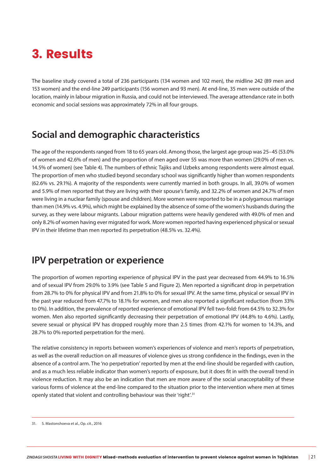# 3. Results

The baseline study covered a total of 236 participants (134 women and 102 men), the midline 242 (89 men and 153 women) and the end-line 249 participants (156 women and 93 men). At end-line, 35 men were outside of the location, mainly in labour migration in Russia, and could not be interviewed. The average attendance rate in both economic and social sessions was approximately 72% in all four groups.

### **Social and demographic characteristics**

The age of the respondents ranged from 18 to 65 years old. Among those, the largest age group was 25–45 (53.0% of women and 42.6% of men) and the proportion of men aged over 55 was more than women (29.0% of men vs. 14.5% of women) (see Table 4). The numbers of ethnic Tajiks and Uzbeks among respondents were almost equal. The proportion of men who studied beyond secondary school was significantly higher than women respondents (62.6% vs. 29.1%). A majority of the respondents were currently married in both groups. In all, 39.0% of women and 5.9% of men reported that they are living with their spouse's family, and 32.2% of women and 24.7% of men were living in a nuclear family (spouse and children). More women were reported to be in a polygamous marriage than men (14.9% vs. 4.9%), which might be explained by the absence of some of the women's husbands during the survey, as they were labour migrants. Labour migration patterns were heavily gendered with 49.0% of men and only 8.2% of women having ever migrated for work. More women reported having experienced physical or sexual IPV in their lifetime than men reported its perpetration (48.5% vs. 32.4%).

### **IPV perpetration or experience**

The proportion of women reporting experience of physical IPV in the past year decreased from 44.9% to 16.5% and of sexual IPV from 29.0% to 3.9% (see Table 5 and Figure 2). Men reported a significant drop in perpetration from 28.7% to 0% for physical IPV and from 21.8% to 0% for sexual IPV. At the same time, physical or sexual IPV in the past year reduced from 47.7% to 18.1% for women, and men also reported a significant reduction (from 33% to 0%). In addition, the prevalence of reported experience of emotional IPV fell two-fold: from 64.5% to 32.3% for women. Men also reported significantly decreasing their perpetration of emotional IPV (44.8% to 4.6%). Lastly, severe sexual or physical IPV has dropped roughly more than 2.5 times (from 42.1% for women to 14.3%, and 28.7% to 0% reported perpetration for the men).

The relative consistency in reports between women's experiences of violence and men's reports of perpetration, as well as the overall reduction on all measures of violence gives us strong confidence in the findings, even in the absence of a control arm. The 'no perpetration' reported by men at the end-line should be regarded with caution, and as a much less reliable indicator than women's reports of exposure, but it does fit in with the overall trend in violence reduction. It may also be an indication that men are more aware of the social unacceptability of these various forms of violence at the end-line compared to the situation prior to the intervention where men at times openly stated that violent and controlling behaviour was their 'right'.<sup>31</sup>

<sup>31.</sup> S. Mastonshoeva et al., Op. cit., 2016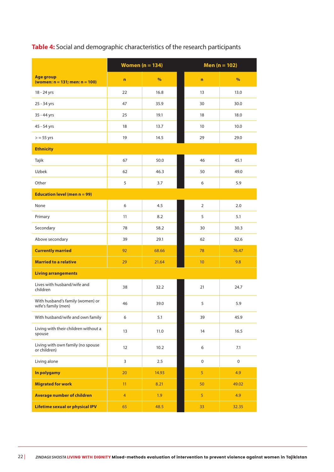|                                                          |                | Women $(n = 134)$ | Men ( $n = 102$ ) |             |  |
|----------------------------------------------------------|----------------|-------------------|-------------------|-------------|--|
| <b>Age group</b><br>(women: $n = 131$ ; men: $n = 100$ ) | $\mathbf n$    | $\frac{9}{6}$     | $\mathbf n$       | %           |  |
| 18 - 24 yrs                                              | 22             | 16.8              | 13                | 13.0        |  |
| 25 - 34 yrs                                              | 47             | 35.9              | 30                | 30.0        |  |
| 35 - 44 yrs                                              | 25             | 19.1              | 18                | 18.0        |  |
| 45 - 54 yrs                                              | 18             | 13.7              | 10                | 10.0        |  |
| $>$ = 55 yrs                                             | 19             | 14.5              | 29                | 29.0        |  |
| <b>Ethnicity</b>                                         |                |                   |                   |             |  |
| Tajik                                                    | 67             | 50.0              | 46                | 45.1        |  |
| Uzbek                                                    | 62             | 46.3              | 50                | 49.0        |  |
| Other                                                    | 5              | 3.7               | 6                 | 5.9         |  |
| <b>Education level (men n = 99)</b>                      |                |                   |                   |             |  |
| None                                                     | 6              | 4.5               | $\overline{2}$    | 2.0         |  |
| Primary                                                  | 11             | 8.2               | 5                 | 5.1         |  |
| Secondary                                                | 78             | 58.2              | 30                | 30.3        |  |
| Above secondary                                          | 39             | 29.1              | 62                | 62.6        |  |
| <b>Currently married</b>                                 | 92             | 68.66             | 78                | 76.47       |  |
| <b>Married to a relative</b>                             | 29             | 21.64             | 10 <sup>°</sup>   | 9.8         |  |
| <b>Living arrangements</b>                               |                |                   |                   |             |  |
| Lives with husband/wife and<br>children                  | 38             | 32.2              | 21                | 24.7        |  |
| With husband's family (women) or<br>wife's family (men)  | 46             | 39.0              | 5                 | 5.9         |  |
| With husband/wife and own family                         | 6              | 5.1               | 39                | 45.9        |  |
| Living with their children without a<br>spouse           | 13             | 11.0              | 14                | 16.5        |  |
| Living with own family (no spouse<br>or children)        | 12             | 10.2              | 6                 | 7.1         |  |
| Living alone                                             | 3              | 2.5               | $\mathbf 0$       | $\mathbf 0$ |  |
| In polygamy                                              | 20             | 14.93             | 5                 | 4.9         |  |
| <b>Migrated for work</b>                                 | 11             | 8.21              | 50                | 49.02       |  |
| Average number of children                               | $\overline{4}$ | 1.9               | 5                 | 4.9         |  |
| Lifetime sexual or physical IPV                          | 65             | 48.5              | 33                | 32.35       |  |

#### **Table 4:** Social and demographic characteristics of the research participants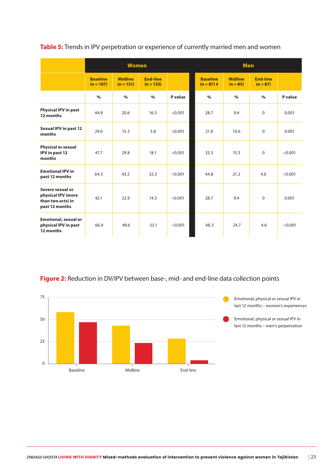**Table 5:** Trends in IPV perpetration or experience of currently married men and women

|                                                                               |                                | <b>Women</b>                  |                                |         |                                 | <b>Men</b>                   |                        |         |
|-------------------------------------------------------------------------------|--------------------------------|-------------------------------|--------------------------------|---------|---------------------------------|------------------------------|------------------------|---------|
|                                                                               | <b>Baseline</b><br>$(n = 107)$ | <b>Midline</b><br>$(n = 131)$ | <b>End-line</b><br>$(n = 133)$ |         | <b>Baseline</b><br>$(n = 87)$ ‡ | <b>Midline</b><br>$(n = 85)$ | End-line<br>$(n = 87)$ |         |
|                                                                               | $\%$                           | $\%$                          | $\%$                           | P value | $\%$                            | $\%$                         | $\%$                   | P value |
| <b>Physical IPV in past</b><br>12 months                                      | 44.9                           | 20.6                          | 16.5                           | < 0.001 | 28.7                            | 9.4                          | $\Omega$               | 0.001   |
| Sexual IPV in past 12<br>months                                               | 29.0                           | 15.3                          | 3.8                            | < 0.001 | 21.8                            | 10.6                         | $\mathbf{0}$           | 0.001   |
| <b>Physical or sexual</b><br>IPV in past 12<br>months                         | 47.7                           | 29.8                          | 18.1                           | < 0.001 | 33.3                            | 15.3                         | $\mathbf 0$            | < 0.001 |
| <b>Emotional IPV in</b><br>past 12 months                                     | 64.5                           | 43.5                          | 32.3                           | < 0.001 | 44.8                            | 21.2                         | 4.6                    | < 0.001 |
| Severe sexual or<br>physical IPV (more<br>than two acts) in<br>past 12 months | 42.1                           | 22.9                          | 14.3                           | < 0.001 | 28.7                            | 9.4                          | $\Omega$               | 0.001   |
| <b>Emotional, sexual or</b><br>physical IPV in past<br>12 months              | 66.4                           | 49.6                          | 33.1                           | < 0.001 | 48.3                            | 24.7                         | 4.6                    | < 0.001 |

Figure 2: Reduction in DV/IPV between base-, mid- and end-line data collection points

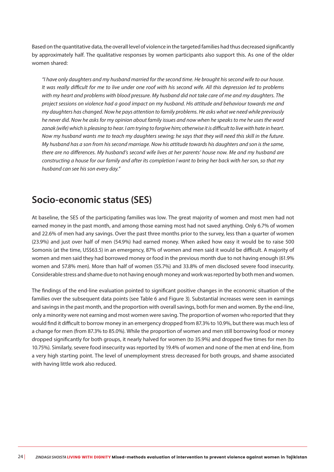Based on the quantitative data, the overall level of violence in the targeted families had thus decreased significantly by approximately half. The qualitative responses by women participants also support this. As one of the older women shared:

*"I have only daughters and my husband married for the second time. He brought his second wife to our house. It was really difficult for me to live under one roof with his second wife. All this depression led to problems with my heart and problems with blood pressure. My husband did not take care of me and my daughters. The project sessions on violence had a good impact on my husband. His attitude and behaviour towards me and my daughters has changed. Now he pays attention to family problems. He asks what we need while previously he never did. Now he asks for my opinion about family issues and now when he speaks to me he uses the word zanak (wife) which is pleasing to hear. I am trying to forgive him; otherwise it is difficult to live with hate in heart. Now my husband wants me to teach my daughters sewing; he says that they will need this skill in the future. My husband has a son from his second marriage. Now his attitude towards his daughters and son is the same, there are no differences. My husband's second wife lives at her parents' house now. Me and my husband are constructing a house for our family and after its completion I want to bring her back with her son, so that my husband can see his son every day."* 

### **Socio-economic status (SES)**

At baseline, the SES of the participating families was low. The great majority of women and most men had not earned money in the past month, and among those earning most had not saved anything. Only 6.7% of women and 22.6% of men had any savings. Over the past three months prior to the survey, less than a quarter of women (23.9%) and just over half of men (54.9%) had earned money. When asked how easy it would be to raise 500 Somonis (at the time, US\$63.5) in an emergency, 87% of women and men said it would be difficult. A majority of women and men said they had borrowed money or food in the previous month due to not having enough (61.9% women and 57.8% men). More than half of women (55.7%) and 33.8% of men disclosed severe food insecurity. Considerable stress and shame due to not having enough money and work was reported by both men and women.

The findings of the end-line evaluation pointed to significant positive changes in the economic situation of the families over the subsequent data points (see Table 6 and Figure 3). Substantial increases were seen in earnings and savings in the past month, and the proportion with overall savings, both for men and women. By the end-line, only a minority were not earning and most women were saving. The proportion of women who reported that they would find it difficult to borrow money in an emergency dropped from 87.3% to 10.9%, but there was much less of a change for men (from 87.3% to 85.0%). While the proportion of women and men still borrowing food or money dropped significantly for both groups, it nearly halved for women (to 35.9%) and dropped five times for men (to 10.75%). Similarly, severe food insecurity was reported by 19.4% of women and none of the men at end-line, from a very high starting point. The level of unemployment stress decreased for both groups, and shame associated with having little work also reduced.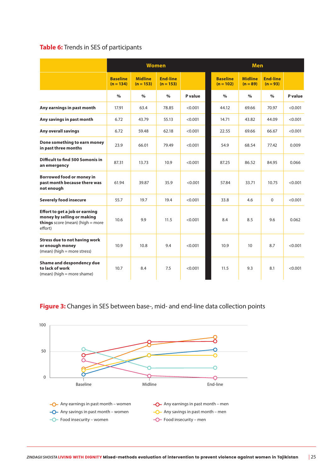#### **Table 6:** Trends in SES of participants

|                                                                                                                      |                                |                               | <b>Women</b>                   |         | <b>Men</b>                     |                              |                               |         |
|----------------------------------------------------------------------------------------------------------------------|--------------------------------|-------------------------------|--------------------------------|---------|--------------------------------|------------------------------|-------------------------------|---------|
|                                                                                                                      | <b>Baseline</b><br>$(n = 134)$ | <b>Midline</b><br>$(n = 153)$ | <b>End-line</b><br>$(n = 153)$ |         | <b>Baseline</b><br>$(n = 102)$ | <b>Midline</b><br>$(n = 89)$ | <b>End-line</b><br>$(n = 93)$ |         |
|                                                                                                                      | $\frac{0}{0}$                  | $\%$                          | $\%$                           | P value | $\frac{0}{0}$                  | $\%$                         | $\%$                          | P value |
| Any earnings in past month                                                                                           | 17.91                          | 63.4                          | 78.85                          | < 0.001 | 44.12                          | 69.66                        | 70.97                         | < 0.001 |
| Any savings in past month                                                                                            | 6.72                           | 43.79                         | 55.13                          | < 0.001 | 14.71                          | 43.82                        | 44.09                         | < 0.001 |
| <b>Any overall savings</b>                                                                                           | 6.72                           | 59.48                         | 62.18                          | < 0.001 | 22.55                          | 69.66                        | 66.67                         | < 0.001 |
| Done something to earn money<br>in past three months                                                                 | 23.9                           | 66.01                         | 79.49                          | < 0.001 | 54.9                           | 68.54                        | 77.42                         | 0.009   |
| Difficult to find 500 Somonis in<br>an emergency                                                                     | 87.31                          | 13.73                         | 10.9                           | < 0.001 | 87.25                          | 86.52                        | 84.95                         | 0.066   |
| <b>Borrowed food or money in</b><br>past month because there was<br>not enough                                       | 61.94                          | 39.87                         | 35.9                           | < 0.001 | 57.84                          | 33.71                        | 10.75                         | < 0.001 |
| <b>Severely food insecure</b>                                                                                        | 55.7                           | 19.7                          | 19.4                           | < 0.001 | 33.8                           | 4.6                          | $\Omega$                      | < 0.001 |
| Effort to get a job or earning<br>money by selling or making<br><b>things</b> score (mean) (high $=$ more<br>effort) | 10.6                           | 9.9                           | 11.5                           | < 0.001 | 8.4                            | 8.5                          | 9.6                           | 0.062   |
| <b>Stress due to not having work</b><br>or enough money<br>(mean) (high = more stress)                               | 10.9                           | 10.8                          | 9.4                            | < 0.001 | 10.9                           | 10                           | 8.7                           | < 0.001 |
| Shame and despondency due<br>to lack of work<br>(mean) (high = more shame)                                           | 10.7                           | 8.4                           | 7.5                            | < 0.001 | 11.5                           | 9.3                          | 8.1                           | < 0.001 |

#### **Figure 3:** Changes in SES between base-, mid- and end-line data collection points

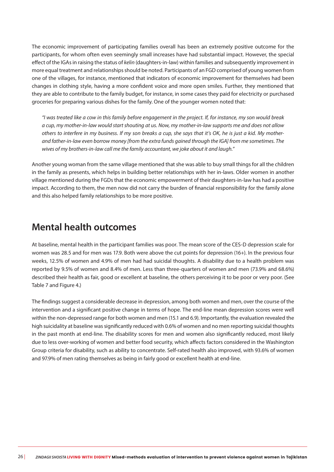The economic improvement of participating families overall has been an extremely positive outcome for the participants, for whom often even seemingly small increases have had substantial impact. However, the special effect of the IGAs in raising the status of *kelin* (daughters-in-law) within families and subsequently improvement in more equal treatment and relationships should be noted. Participants of an FGD comprised of young women from one of the villages, for instance, mentioned that indicators of economic improvement for themselves had been changes in clothing style, having a more confident voice and more open smiles. Further, they mentioned that they are able to contribute to the family budget, for instance, in some cases they paid for electricity or purchased groceries for preparing various dishes for the family. One of the younger women noted that:

*"I was treated like a cow in this family before engagement in the project. If, for instance, my son would break a cup, my mother-in-law would start shouting at us. Now, my mother-in-law supports me and does not allow others to interfere in my business. If my son breaks a cup, she says that it's OK, he is just a kid. My motherand father-in-law even borrow money [from the extra funds gained through the IGA] from me sometimes. The wives of my brothers-in-law call me the family accountant, we joke about it and laugh."* 

Another young woman from the same village mentioned that she was able to buy small things for all the children in the family as presents, which helps in building better relationships with her in-laws. Older women in another village mentioned during the FGDs that the economic empowerment of their daughters-in-law has had a positive impact. According to them, the men now did not carry the burden of financial responsibility for the family alone and this also helped family relationships to be more positive.

### **Mental health outcomes**

At baseline, mental health in the participant families was poor. The mean score of the CES-D depression scale for women was 28.5 and for men was 17.9. Both were above the cut points for depression (16+). In the previous four weeks, 12.5% of women and 4.9% of men had had suicidal thoughts. A disability due to a health problem was reported by 9.5% of women and 8.4% of men. Less than three-quarters of women and men (73.9% and 68.6%) described their health as fair, good or excellent at baseline, the others perceiving it to be poor or very poor. (See Table 7 and Figure 4.)

The findings suggest a considerable decrease in depression, among both women and men, over the course of the intervention and a significant positive change in terms of hope. The end-line mean depression scores were well within the non-depressed range for both women and men (15.1 and 6.9). Importantly, the evaluation revealed the high suicidality at baseline was significantly reduced with 0.6% of women and no men reporting suicidal thoughts in the past month at end-line. The disability scores for men and women also significantly reduced, most likely due to less over-working of women and better food security, which affects factors considered in the Washington Group criteria for disability, such as ability to concentrate. Self-rated health also improved, with 93.6% of women and 97.9% of men rating themselves as being in fairly good or excellent health at end-line.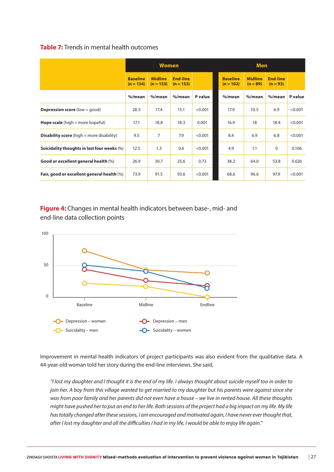#### **Table 7:** Trends in mental health outcomes

|                                                    | <b>Women</b>                   |                               |                                |         | <b>Men</b>                     |                              |                               |         |
|----------------------------------------------------|--------------------------------|-------------------------------|--------------------------------|---------|--------------------------------|------------------------------|-------------------------------|---------|
|                                                    | <b>Baseline</b><br>$(n = 134)$ | <b>Midline</b><br>$(n = 153)$ | <b>End-line</b><br>$(n = 153)$ |         | <b>Baseline</b><br>$(n = 102)$ | <b>Midline</b><br>$(n = 89)$ | <b>End-line</b><br>$(n = 93)$ |         |
|                                                    | $%$ /mean                      | $%$ /mean                     | %/mean                         | P value | %/mean                         | $%$ /mean                    | $%$ /mean                     | P value |
| <b>Depression score</b> (low = $qood$ )            | 28.5                           | 17.4                          | 15.1                           | < 0.001 | 17.9                           | 10.5                         | 6.9                           | < 0.001 |
| <b>Hope scale</b> (high $=$ more hopeful)          | 17.1                           | 18.8                          | 18.3                           | 0.001   | 16.9                           | 18                           | 18.4                          | < 0.001 |
| <b>Disability score</b> (high $=$ more disability) | 9.5                            | 7                             | 7.9                            | < 0.001 | 8.4                            | 6.9                          | 6.8                           | < 0.001 |
| Suicidality thoughts in last four weeks (%)        | 12.5                           | 1.3                           | 0.6                            | < 0.001 | 4.9                            | 1.1                          | $\mathbf 0$                   | 0.106   |
| Good or excellent general health (%)               | 26.9                           | 30.7                          | 25.6                           | 0.73    | 38.2                           | 64.0                         | 53.8                          | 0.026   |
| Fair, good or excellent general health (%)         | 73.9                           | 91.5                          | 93.6                           | < 0.001 | 68.6                           | 96.6                         | 97.9                          | < 0.001 |

**Figure 4:** Changes in mental health indicators between base-, mid- and end-line data collection points



Improvement in mental health indicators of project participants was also evident from the qualitative data. A 44-year-old woman told her story during the end-line interviews. She said,

*"I lost my daughter and I thought it is the end of my life. I always thought about suicide myself too in order to join her. A boy from this village wanted to get married to my daughter but his parents were against since she was from poor family and her parents did not even have a house – we live in rented house. All these thoughts might have pushed her to put an end to her life. Both sessions of the project had a big impact on my life. My life has totally changed after these sessions, I am encouraged and motivated again, I have never ever thought that, after I lost my daughter and all the difficulties I had in my life, I would be able to enjoy life again."*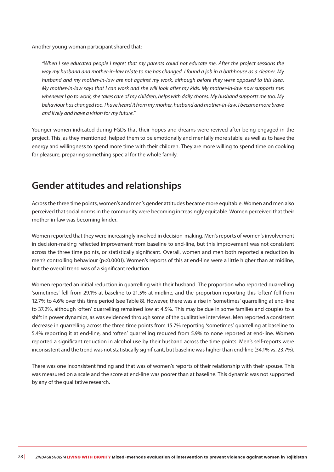Another young woman participant shared that:

*"When I see educated people I regret that my parents could not educate me. After the project sessions the way my husband and mother-in-law relate to me has changed. I found a job in a bathhouse as a cleaner. My husband and my mother-in-law are not against my work, although before they were opposed to this idea. My mother-in-law says that I can work and she will look after my kids. My mother-in-law now supports me; whenever I go to work, she takes care of my children, helps with daily chores. My husband supports me too. My behaviour has changed too. I have heard it from my mother, husband and mother-in-law. I became more brave and lively and have a vision for my future."* 

Younger women indicated during FGDs that their hopes and dreams were revived after being engaged in the project. This, as they mentioned, helped them to be emotionally and mentally more stable, as well as to have the energy and willingness to spend more time with their children. They are more willing to spend time on cooking for pleasure, preparing something special for the whole family.

### **Gender attitudes and relationships**

Across the three time points, women's and men's gender attitudes became more equitable. Women and men also perceived that social norms in the community were becoming increasingly equitable. Women perceived that their mother-in-law was becoming kinder.

Women reported that they were increasingly involved in decision-making. Men's reports of women's involvement in decision-making reflected improvement from baseline to end-line, but this improvement was not consistent across the three time points, or statistically significant. Overall, women and men both reported a reduction in men's controlling behaviour (p<0.0001). Women's reports of this at end-line were a little higher than at midline, but the overall trend was of a significant reduction.

Women reported an initial reduction in quarrelling with their husband. The proportion who reported quarrelling 'sometimes' fell from 29.1% at baseline to 21.5% at midline, and the proportion reporting this 'often' fell from 12.7% to 4.6% over this time period (see Table 8). However, there was a rise in 'sometimes' quarrelling at end-line to 37.2%, although 'often' quarrelling remained low at 4.5%. This may be due in some families and couples to a shift in power dynamics, as was evidenced through some of the qualitative interviews. Men reported a consistent decrease in quarrelling across the three time points from 15.7% reporting 'sometimes' quarrelling at baseline to 5.4% reporting it at end-line, and 'often' quarrelling reduced from 5.9% to none reported at end-line. Women reported a significant reduction in alcohol use by their husband across the time points. Men's self-reports were inconsistent and the trend was not statistically significant, but baseline was higher than end-line (34.1% vs. 23.7%).

There was one inconsistent finding and that was of women's reports of their relationship with their spouse. This was measured on a scale and the score at end-line was poorer than at baseline. This dynamic was not supported by any of the qualitative research.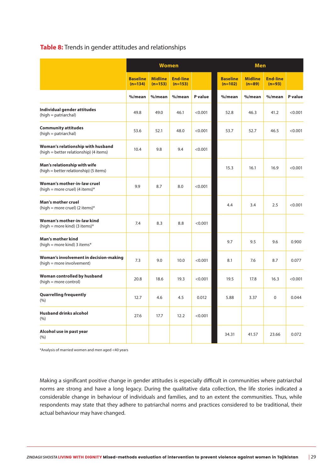#### **Table 8:** Trends in gender attitudes and relationships

|                                                                             |                              | <b>Women</b>                |                              |         |                              | <b>Men</b>                 |                             |         |
|-----------------------------------------------------------------------------|------------------------------|-----------------------------|------------------------------|---------|------------------------------|----------------------------|-----------------------------|---------|
|                                                                             | <b>Baseline</b><br>$(n=134)$ | <b>Midline</b><br>$(n=153)$ | <b>End-line</b><br>$(n=153)$ |         | <b>Baseline</b><br>$(n=102)$ | <b>Midline</b><br>$(n=89)$ | <b>End-line</b><br>$(n=93)$ |         |
|                                                                             | %/mean                       | %/mean                      | %/mean                       | P value | %/mean                       | %/mean                     | %/mean                      | P value |
| Individual gender attitudes<br>(high = patriarchal)                         | 49.8                         | 49.0                        | 46.1                         | < 0.001 | 52.8                         | 46.3                       | 41.2                        | < 0.001 |
| <b>Community attitudes</b><br>(high = patriarchal)                          | 53.6                         | 52.1                        | 48.0                         | < 0.001 | 53.7                         | 52.7                       | 46.5                        | < 0.001 |
| Woman's relationship with husband<br>(high = better relationship) (4 items) | 10.4                         | 9.8                         | 9.4                          | < 0.001 |                              |                            |                             |         |
| Man's relationship with wife<br>(high = better relationship) (5 items)      |                              |                             |                              |         | 15.3                         | 16.1                       | 16.9                        | < 0.001 |
| Woman's mother-in-law cruel<br>(high = more cruel) (4 items)*               | 9.9                          | 8.7                         | 8.0                          | < 0.001 |                              |                            |                             |         |
| <b>Man's mother cruel</b><br>(high = more cruel) (2 items)*                 |                              |                             |                              |         | 4.4                          | 3.4                        | 2.5                         | < 0.001 |
| Woman's mother-in-law kind<br>(high = more kind) (3 items)*                 | 7.4                          | 8.3                         | 8.8                          | < 0.001 |                              |                            |                             |         |
| Man's mother kind<br>(high = more kind) 3 items*                            |                              |                             |                              |         | 9.7                          | 9.5                        | 9.6                         | 0.900   |
| Woman's involvement in decision-making<br>(high = more involvement)         | 7.3                          | 9.0                         | 10.0                         | < 0.001 | 8.1                          | 7.6                        | 8.7                         | 0.077   |
| Woman controlled by husband<br>(high = more control)                        | 20.8                         | 18.6                        | 19.3                         | < 0.001 | 19.5                         | 17.8                       | 16.3                        | < 0.001 |
| <b>Quarrelling frequently</b><br>(% )                                       | 12.7                         | 4.6                         | 4.5                          | 0.012   | 5.88                         | 3.37                       | $\Omega$                    | 0.044   |
| <b>Husband drinks alcohol</b><br>(%)                                        | 27.6                         | 17.7                        | 12.2                         | < 0.001 |                              |                            |                             |         |
| Alcohol use in past year<br>(% )                                            |                              |                             |                              |         | 34.31                        | 41.57                      | 23.66                       | 0.072   |

\*Analysis of married women and men aged <40 years

Making a significant positive change in gender attitudes is especially difficult in communities where patriarchal norms are strong and have a long legacy. During the qualitative data collection, the life stories indicated a considerable change in behaviour of individuals and families, and to an extent the communities. Thus, while respondents may state that they adhere to patriarchal norms and practices considered to be traditional, their actual behaviour may have changed.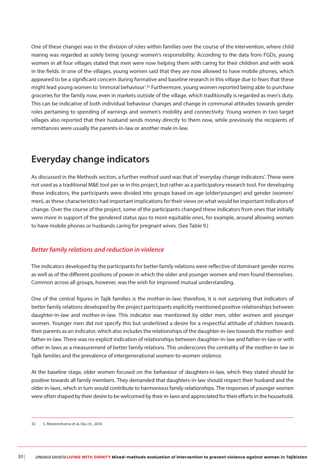One of these changes was in the division of roles within families over the course of the intervention, where child rearing was regarded as solely being (young) women's responsibility. According to the data from FGDs, young women in all four villages stated that men were now helping them with caring for their children and with work in the fields. In one of the villages, young women said that they are now allowed to have mobile phones, which appeared to be a significant concern during formative and baseline research in this village due to fears that these might lead young women to 'immoral behaviour'.<sup>32</sup> Furthermore, young women reported being able to purchase groceries for the family now, even in markets outside of the village, which traditionally is regarded as men's duty. This can be indicative of both individual behaviour changes and change in communal attitudes towards gender roles pertaining to spending of earnings and women's mobility and connectivity. Young women in two target villages also reported that their husband sends money directly to them now, while previously the recipients of remittances were usually the parents-in-law or another male in-law.

### **Everyday change indicators**

As discussed in the Methods section, a further method used was that of 'everyday change indicators'. These were not used as a traditional M&E tool per se in this project, but rather as a participatory research tool. For developing these indicators, the participants were divided into groups based on age (older/younger) and gender (women/ men), as these characteristics had important implications for their views on what would be important indicators of change. Over the course of the project, some of the participants changed these indicators from ones that initially were more in support of the gendered status quo to more equitable ones, for example, around allowing women to have mobile phones or husbands caring for pregnant wives. (See Table 9.)

#### *Better family relations and reduction in violence*

The indicators developed by the participants for better family relations were reflective of dominant gender norms as well as of the different positions of power in which the older and younger women and men found themselves. Common across all groups, however, was the wish for improved mutual understanding.

One of the central figures in Tajik families is the mother-in-law; therefore, it is not surprising that indicators of better family relations developed by the project participants explicitly mentioned positive relationships between daughter-in-law and mother-in-law. This indicator was mentioned by older men, older women and younger women. Younger men did not specify this but underlined a desire for a respectful attitude of children towards their parents as an indicator, which also includes the relationships of the daughter-in-law towards the mother- and father-in-law. There was no explicit indication of relationships between daughter-in-law and father-in-law or with other in-laws as a measurement of better family relations. This underscores the centrality of the mother-in-law in Tajik families and the prevalence of intergenerational women-to-women violence.

At the baseline stage, older women focused on the behaviour of daughters-in-law, which they stated should be positive towards all family members. They demanded that daughters-in-law should respect their husband and the older in-laws, which in turn would contribute to harmonious family relationships. The responses of younger women were often shaped by their desire to be welcomed by their in-laws and appreciated for their efforts in the household.

<sup>32.</sup> S. Mastonshoeva et al, Op. cit., 2016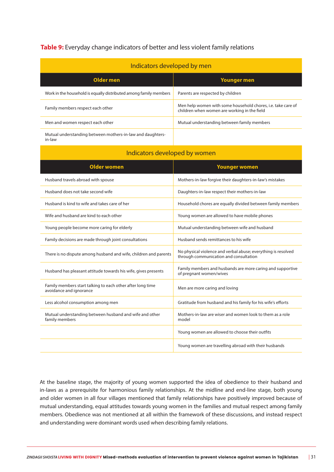#### **Table 9:** Everyday change indicators of better and less violent family relations

| Indicators developed by men                                          |                                                                                                              |
|----------------------------------------------------------------------|--------------------------------------------------------------------------------------------------------------|
| Older men                                                            | Younger men                                                                                                  |
| Work in the household is equally distributed among family members    | Parents are respected by children                                                                            |
| Family members respect each other                                    | Men help women with some household chores, i.e. take care of<br>children when women are working in the field |
| Men and women respect each other                                     | Mutual understanding between family members                                                                  |
| Mutual understanding between mothers-in-law and daughters-<br>in-law |                                                                                                              |

| Indicators developed by women                                                         |                                                                                                         |
|---------------------------------------------------------------------------------------|---------------------------------------------------------------------------------------------------------|
| <b>Older women</b>                                                                    | <b>Younger women</b>                                                                                    |
| Husband travels abroad with spouse                                                    | Mothers-in-law forgive their daughters-in-law's mistakes                                                |
| Husband does not take second wife                                                     | Daughters-in-law respect their mothers-in-law                                                           |
| Husband is kind to wife and takes care of her                                         | Household chores are equally divided between family members                                             |
| Wife and husband are kind to each other                                               | Young women are allowed to have mobile phones                                                           |
| Young people become more caring for elderly                                           | Mutual understanding between wife and husband                                                           |
| Family decisions are made through joint consultations                                 | Husband sends remittances to his wife                                                                   |
| There is no dispute among husband and wife, children and parents                      | No physical violence and verbal abuse; everything is resolved<br>through communication and consultation |
| Husband has pleasant attitude towards his wife, gives presents                        | Family members and husbands are more caring and supportive<br>of pregnant women/wives                   |
| Family members start talking to each other after long time<br>avoidance and ignorance | Men are more caring and loving                                                                          |
| Less alcohol consumption among men                                                    | Gratitude from husband and his family for his wife's efforts                                            |
| Mutual understanding between husband and wife and other<br>family members             | Mothers-in-law are wiser and women look to them as a role<br>model                                      |
|                                                                                       | Young women are allowed to choose their outfits                                                         |
|                                                                                       | Young women are travelling abroad with their husbands                                                   |

At the baseline stage, the majority of young women supported the idea of obedience to their husband and in-laws as a prerequisite for harmonious family relationships. At the midline and end-line stage, both young and older women in all four villages mentioned that family relationships have positively improved because of mutual understanding, equal attitudes towards young women in the families and mutual respect among family members. Obedience was not mentioned at all within the framework of these discussions, and instead respect and understanding were dominant words used when describing family relations.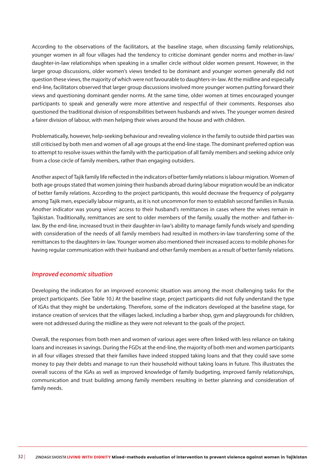According to the observations of the facilitators, at the baseline stage, when discussing family relationships, younger women in all four villages had the tendency to criticise dominant gender norms and mother-in-law/ daughter-in-law relationships when speaking in a smaller circle without older women present. However, in the larger group discussions, older women's views tended to be dominant and younger women generally did not question these views, the majority of which were not favourable to daughters-in-law. At the midline and especially end-line, facilitators observed that larger group discussions involved more younger women putting forward their views and questioning dominant gender norms. At the same time, older women at times encouraged younger participants to speak and generally were more attentive and respectful of their comments. Responses also questioned the traditional division of responsibilities between husbands and wives. The younger women desired a fairer division of labour, with men helping their wives around the house and with children.

Problematically, however, help-seeking behaviour and revealing violence in the family to outside third parties was still criticised by both men and women of all age groups at the end-line stage. The dominant preferred option was to attempt to resolve issues within the family with the participation of all family members and seeking advice only from a close circle of family members, rather than engaging outsiders.

Another aspect of Tajik family life reflected in the indicators of better family relations is labour migration. Women of both age groups stated that women joining their husbands abroad during labour migration would be an indicator of better family relations. According to the project participants, this would decrease the frequency of polygamy among Tajik men, especially labour migrants, as it is not uncommon for men to establish second families in Russia. Another indicator was young wives' access to their husband's remittances in cases where the wives remain in Tajikistan. Traditionally, remittances are sent to older members of the family, usually the mother- and father-inlaw. By the end-line, increased trust in their daughter-in-law's ability to manage family funds wisely and spending with consideration of the needs of all family members had resulted in mothers-in-law transferring some of the remittances to the daughters-in-law. Younger women also mentioned their increased access to mobile phones for having regular communication with their husband and other family members as a result of better family relations.

#### *Improved economic situation*

Developing the indicators for an improved economic situation was among the most challenging tasks for the project participants. (See Table 10.) At the baseline stage, project participants did not fully understand the type of IGAs that they might be undertaking. Therefore, some of the indicators developed at the baseline stage, for instance creation of services that the villages lacked, including a barber shop, gym and playgrounds for children, were not addressed during the midline as they were not relevant to the goals of the project.

Overall, the responses from both men and women of various ages were often linked with less reliance on taking loans and increases in savings. During the FGDs at the end-line, the majority of both men and women participants in all four villages stressed that their families have indeed stopped taking loans and that they could save some money to pay their debts and manage to run their household without taking loans in future. This illustrates the overall success of the IGAs as well as improved knowledge of family budgeting, improved family relationships, communication and trust building among family members resulting in better planning and consideration of family needs.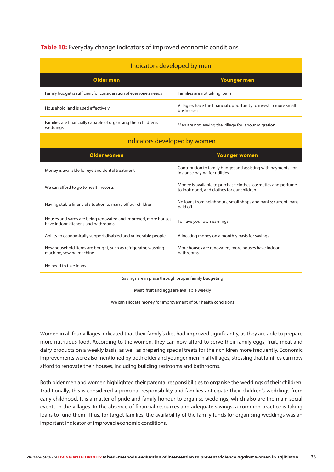#### **Table 10:** Everyday change indicators of improved economic conditions

| Indicators developed by men                                                                          |                                                                                                             |  |
|------------------------------------------------------------------------------------------------------|-------------------------------------------------------------------------------------------------------------|--|
| <b>Older men</b>                                                                                     | <b>Younger men</b>                                                                                          |  |
| Family budget is sufficient for consideration of everyone's needs                                    | Families are not taking loans                                                                               |  |
| Household land is used effectively                                                                   | Villagers have the financial opportunity to invest in more small<br>businesses                              |  |
| Families are financially capable of organising their children's<br>weddings                          | Men are not leaving the village for labour migration                                                        |  |
| Indicators developed by women                                                                        |                                                                                                             |  |
| <b>Older women</b>                                                                                   | <b>Younger women</b>                                                                                        |  |
| Money is available for eye and dental treatment                                                      | Contribution to family budget and assisting with payments, for<br>instance paying for utilities             |  |
| We can afford to go to health resorts                                                                | Money is available to purchase clothes, cosmetics and perfume<br>to look good, and clothes for our children |  |
| Having stable financial situation to marry off our children                                          | No loans from neighbours, small shops and banks; current loans<br>paid off                                  |  |
| Houses and yards are being renovated and improved, more houses<br>have indoor kitchens and bathrooms | To have your own earnings                                                                                   |  |
| Ability to economically support disabled and vulnerable people                                       | Allocating money on a monthly basis for savings                                                             |  |
| New household items are bought, such as refrigerator, washing<br>machine, sewing machine             | More houses are renovated, more houses have indoor<br>bathrooms                                             |  |
| No need to take loans                                                                                |                                                                                                             |  |
| Savings are in place through proper family budgeting                                                 |                                                                                                             |  |
| Meat, fruit and eggs are available weekly                                                            |                                                                                                             |  |
| We can allocate money for improvement of our health conditions                                       |                                                                                                             |  |

Women in all four villages indicated that their family's diet had improved significantly, as they are able to prepare more nutritious food. According to the women, they can now afford to serve their family eggs, fruit, meat and dairy products on a weekly basis, as well as preparing special treats for their children more frequently. Economic improvements were also mentioned by both older and younger men in all villages, stressing that families can now afford to renovate their houses, including building restrooms and bathrooms.

Both older men and women highlighted their parental responsibilities to organise the weddings of their children. Traditionally, this is considered a principal responsibility and families anticipate their children's weddings from early childhood. It is a matter of pride and family honour to organise weddings, which also are the main social events in the villages. In the absence of financial resources and adequate savings, a common practice is taking loans to fund them. Thus, for target families, the availability of the family funds for organising weddings was an important indicator of improved economic conditions.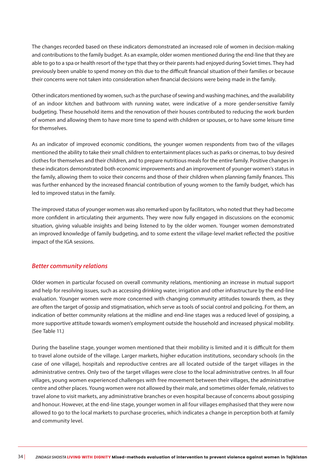The changes recorded based on these indicators demonstrated an increased role of women in decision-making and contributions to the family budget. As an example, older women mentioned during the end-line that they are able to go to a spa or health resort of the type that they or their parents had enjoyed during Soviet times. They had previously been unable to spend money on this due to the difficult financial situation of their families or because their concerns were not taken into consideration when financial decisions were being made in the family.

Other indicators mentioned by women, such as the purchase of sewing and washing machines, and the availability of an indoor kitchen and bathroom with running water, were indicative of a more gender-sensitive family budgeting. These household items and the renovation of their houses contributed to reducing the work burden of women and allowing them to have more time to spend with children or spouses, or to have some leisure time for themselves.

As an indicator of improved economic conditions, the younger women respondents from two of the villages mentioned the ability to take their small children to entertainment places such as parks or cinemas, to buy desired clothes for themselves and their children, and to prepare nutritious meals for the entire family. Positive changes in these indicators demonstrated both economic improvements and an improvement of younger women's status in the family, allowing them to voice their concerns and those of their children when planning family finances. This was further enhanced by the increased financial contribution of young women to the family budget, which has led to improved status in the family.

The improved status of younger women was also remarked upon by facilitators, who noted that they had become more confident in articulating their arguments. They were now fully engaged in discussions on the economic situation, giving valuable insights and being listened to by the older women. Younger women demonstrated an improved knowledge of family budgeting, and to some extent the village-level market reflected the positive impact of the IGA sessions.

#### *Better community relations*

Older women in particular focused on overall community relations, mentioning an increase in mutual support and help for resolving issues, such as accessing drinking water, irrigation and other infrastructure by the end-line evaluation. Younger women were more concerned with changing community attitudes towards them, as they are often the target of gossip and stigmatisation, which serve as tools of social control and policing. For them, an indication of better community relations at the midline and end-line stages was a reduced level of gossiping, a more supportive attitude towards women's employment outside the household and increased physical mobility. (See Table 11.)

During the baseline stage, younger women mentioned that their mobility is limited and it is difficult for them to travel alone outside of the village. Larger markets, higher education institutions, secondary schools (in the case of one village), hospitals and reproductive centres are all located outside of the target villages in the administrative centres. Only two of the target villages were close to the local administrative centres. In all four villages, young women experienced challenges with free movement between their villages, the administrative centre and other places. Young women were not allowed by their male, and sometimes older female, relatives to travel alone to visit markets, any administrative branches or even hospital because of concerns about gossiping and honour. However, at the end-line stage, younger women in all four villages emphasised that they were now allowed to go to the local markets to purchase groceries, which indicates a change in perception both at family and community level.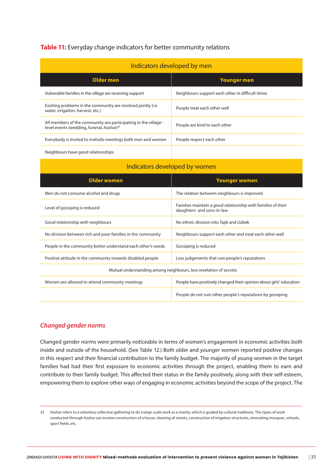#### **Table 11:** Everyday change indicators for better community relations

| Indicators developed by men                                                                                             |                                                  |
|-------------------------------------------------------------------------------------------------------------------------|--------------------------------------------------|
| Older men                                                                                                               | <b>Younger men</b>                               |
| Vulnerable families in the village are receiving support                                                                | Neighbours support each other in difficult times |
| Existing problems in the community are resolved jointly (i.e.<br>water, irrigation, harvest, etc.)                      | People treat each other well                     |
| All members of the community are participating in the village-<br>level events (wedding, funeral, hashar) <sup>33</sup> | People are kind to each other                    |
| Everybody is invited to <i>mahalla</i> meetings both men and women                                                      | People respect each other                        |
|                                                                                                                         |                                                  |

Neighbours have good relationships

| Indicators developed by women                                     |                                                                                            |  |
|-------------------------------------------------------------------|--------------------------------------------------------------------------------------------|--|
| <b>Older women</b>                                                | <b>Younger women</b>                                                                       |  |
| Men do not consume alcohol and drugs                              | The relation between neighbours is improved                                                |  |
| Level of gossiping is reduced                                     | Families maintain a good relationship with families of their<br>daughters- and sons-in-law |  |
| Good relationship with neighbours                                 | No ethnic division into Tajik and Uzbek                                                    |  |
| No division between rich and poor families in the community       | Neighbours support each other and treat each other well                                    |  |
| People in the community better understand each other's needs      | Gossiping is reduced                                                                       |  |
| Positive attitude in the community towards disabled people        | Less judgements that ruin people's reputations                                             |  |
| Mutual understanding among neighbours, less revelation of secrets |                                                                                            |  |
| Women are allowed to attend community meetings                    | People have positively changed their opinion about girls' education                        |  |
|                                                                   | People do not ruin other people's reputations by gossiping                                 |  |

#### *Changed gender norms*

Changed gender norms were primarily noticeable in terms of women's engagement in economic activities both inside and outside of the household. (See Table 12.) Both older and younger women reported positive changes in this respect and their financial contribution to the family budget. The majority of young women in the target families had had their first exposure to economic activities through the project, enabling them to earn and contribute to their family budget. This affected their status in the family positively, along with their self-esteem, empowering them to explore other ways of engaging in economic activities beyond the scope of the project. The

*<sup>33.</sup> Hashar* refers to a voluntary collective gathering to do a large-scale work as a charity, which is guided by cultural traditions. The types of work conducted through *hashar* can involve construction of a house, cleaning of streets, construction of irrigation structures, renovating mosques, schools, sport fields, etc.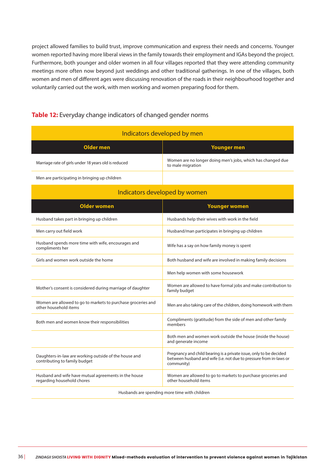project allowed families to build trust, improve communication and express their needs and concerns. Younger women reported having more liberal views in the family towards their employment and IGAs beyond the project. Furthermore, both younger and older women in all four villages reported that they were attending community meetings more often now beyond just weddings and other traditional gatherings. In one of the villages, both women and men of different ages were discussing renovation of the roads in their neighbourhood together and voluntarily carried out the work, with men working and women preparing food for them.

#### **Table 12:** Everyday change indicators of changed gender norms

| Indicators developed by men                          |                                                                                  |
|------------------------------------------------------|----------------------------------------------------------------------------------|
| Older men                                            | Younger men                                                                      |
| Marriage rate of girls under 18 years old is reduced | Women are no longer doing men's jobs, which has changed due<br>to male migration |
| Men are participating in bringing up children        |                                                                                  |

| Indicators developed by women                                                          |                                                                                                                                                        |  |
|----------------------------------------------------------------------------------------|--------------------------------------------------------------------------------------------------------------------------------------------------------|--|
| <b>Older women</b>                                                                     | <b>Younger women</b>                                                                                                                                   |  |
| Husband takes part in bringing up children                                             | Husbands help their wives with work in the field                                                                                                       |  |
| Men carry out field work                                                               | Husband/man participates in bringing up children                                                                                                       |  |
| Husband spends more time with wife, encourages and<br>compliments her                  | Wife has a say on how family money is spent                                                                                                            |  |
| Girls and women work outside the home                                                  | Both husband and wife are involved in making family decisions                                                                                          |  |
|                                                                                        | Men help women with some housework                                                                                                                     |  |
| Mother's consent is considered during marriage of daughter                             | Women are allowed to have formal jobs and make contribution to<br>family budget                                                                        |  |
| Women are allowed to go to markets to purchase groceries and<br>other household items  | Men are also taking care of the children, doing homework with them                                                                                     |  |
| Both men and women know their responsibilities                                         | Compliments (gratitude) from the side of men and other family<br>members                                                                               |  |
|                                                                                        | Both men and women work outside the house (inside the house)<br>and generate income                                                                    |  |
| Daughters-in-law are working outside of the house and<br>contributing to family budget | Pregnancy and child bearing is a private issue, only to be decided<br>between husband and wife (i.e. not due to pressure from in-laws or<br>community) |  |
| Husband and wife have mutual agreements in the house<br>regarding household chores     | Women are allowed to go to markets to purchase groceries and<br>other household items                                                                  |  |

Husbands are spending more time with children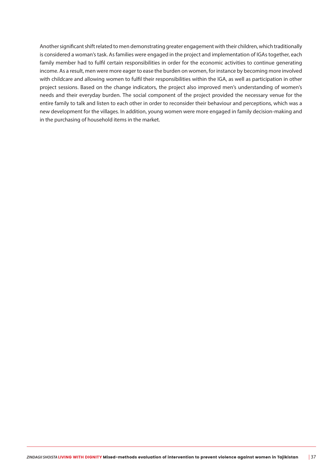Another significant shift related to men demonstrating greater engagement with their children, which traditionally is considered a woman's task. As families were engaged in the project and implementation of IGAs together, each family member had to fulfil certain responsibilities in order for the economic activities to continue generating income. As a result, men were more eager to ease the burden on women, for instance by becoming more involved with childcare and allowing women to fulfil their responsibilities within the IGA, as well as participation in other project sessions. Based on the change indicators, the project also improved men's understanding of women's needs and their everyday burden. The social component of the project provided the necessary venue for the entire family to talk and listen to each other in order to reconsider their behaviour and perceptions, which was a new development for the villages. In addition, young women were more engaged in family decision-making and in the purchasing of household items in the market.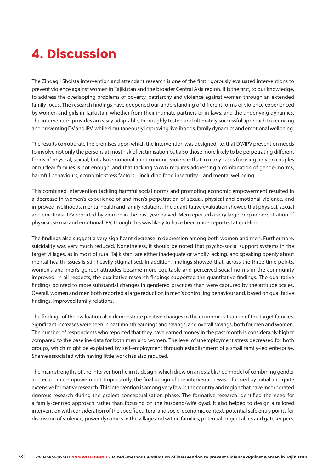# 4. Discussion

The Zindagii Shoista intervention and attendant research is one of the first rigorously evaluated interventions to prevent violence against women in Tajikistan and the broader Central Asia region. It is the first, to our knowledge, to address the overlapping problems of poverty, patriarchy and violence against women through an extended family focus. The research findings have deepened our understanding of different forms of violence experienced by women and girls in Tajikistan, whether from their intimate partners or in-laws, and the underlying dynamics. The intervention provides an easily adaptable, thoroughly tested and ultimately successful approach to reducing and preventing DV and IPV, while simultaneously improving livelihoods, family dynamics and emotional wellbeing.

The results corroborate the premises upon which the intervention was designed, i.e. that DV/IPV prevention needs to involve not only the persons at most risk of victimisation but also those more likely to be perpetrating different forms of physical, sexual, but also emotional and economic violence; that in many cases focusing only on couples or nuclear families is not enough; and that tackling VAWG requires addressing a combination of gender norms, harmful behaviours, economic stress factors – including food insecurity – and mental wellbeing.

This combined intervention tackling harmful social norms and promoting economic empowerment resulted in a decrease in women's experience of and men's perpetration of sexual, physical and emotional violence, and improved livelihoods, mental health and family relations. The quantitative evaluation showed that physical, sexual and emotional IPV reported by women in the past year halved. Men reported a very large drop in perpetration of physical, sexual and emotional IPV, though this was likely to have been underreported at end-line.

The findings also suggest a very significant decrease in depression among both women and men. Furthermore, suicidality was very much reduced. Nonetheless, it should be noted that psycho-social support systems in the target villages, as in most of rural Tajikistan, are either inadequate or wholly lacking, and speaking openly about mental health issues is still heavily stigmatised. In addition, findings showed that, across the three time points, women's and men's gender attitudes became more equitable and perceived social norms in the community improved. In all respects, the qualitative research findings supported the quantitative findings. The qualitative findings pointed to more substantial changes in gendered practices than were captured by the attitude scales. Overall, women and men both reported a large reduction in men's controlling behaviour and, based on qualitative findings, improved family relations.

The findings of the evaluation also demonstrate positive changes in the economic situation of the target families. Significant increases were seen in past month earnings and savings, and overall savings, both for men and women. The number of respondents who reported that they have earned money in the past month is considerably higher compared to the baseline data for both men and women. The level of unemployment stress decreased for both groups, which might be explained by self-employment through establishment of a small family-led enterprise. Shame associated with having little work has also reduced.

The main strengths of the intervention lie in its design, which drew on an established model of combining gender and economic empowerment. Importantly, the final design of the intervention was informed by initial and quite extensive formative research. This intervention is among very few in the country and region that have incorporated rigorous research during the project conceptualisation phase. The formative research identified the need for a family-centred approach rather than focusing on the husband/wife dyad. It also helped to design a tailored intervention with consideration of the specific cultural and socio-economic context, potential safe entry points for discussion of violence, power dynamics in the village and within families, potential project allies and gatekeepers.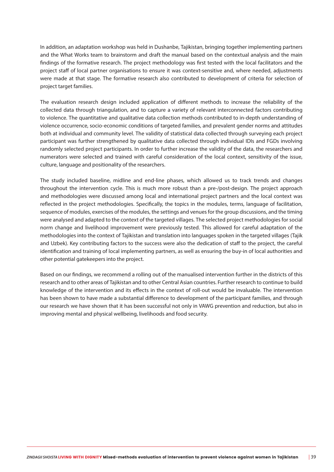In addition, an adaptation workshop was held in Dushanbe, Tajikistan, bringing together implementing partners and the What Works team to brainstorm and draft the manual based on the contextual analysis and the main findings of the formative research. The project methodology was first tested with the local facilitators and the project staff of local partner organisations to ensure it was context-sensitive and, where needed, adjustments were made at that stage. The formative research also contributed to development of criteria for selection of project target families.

The evaluation research design included application of different methods to increase the reliability of the collected data through triangulation, and to capture a variety of relevant interconnected factors contributing to violence. The quantitative and qualitative data collection methods contributed to in-depth understanding of violence occurrence, socio-economic conditions of targeted families, and prevalent gender norms and attitudes both at individual and community level. The validity of statistical data collected through surveying each project participant was further strengthened by qualitative data collected through individual IDIs and FGDs involving randomly selected project participants. In order to further increase the validity of the data, the researchers and numerators were selected and trained with careful consideration of the local context, sensitivity of the issue, culture, language and positionality of the researchers.

The study included baseline, midline and end-line phases, which allowed us to track trends and changes throughout the intervention cycle. This is much more robust than a pre-/post-design. The project approach and methodologies were discussed among local and international project partners and the local context was reflected in the project methodologies. Specifically, the topics in the modules, terms, language of facilitation, sequence of modules, exercises of the modules, the settings and venues for the group discussions, and the timing were analysed and adapted to the context of the targeted villages. The selected project methodologies for social norm change and livelihood improvement were previously tested. This allowed for careful adaptation of the methodologies into the context of Tajikistan and translation into languages spoken in the targeted villages (Tajik and Uzbek). Key contributing factors to the success were also the dedication of staff to the project, the careful identification and training of local implementing partners, as well as ensuring the buy-in of local authorities and other potential gatekeepers into the project.

Based on our findings, we recommend a rolling out of the manualised intervention further in the districts of this research and to other areas of Tajikistan and to other Central Asian countries. Further research to continue to build knowledge of the intervention and its effects in the context of roll-out would be invaluable. The intervention has been shown to have made a substantial difference to development of the participant families, and through our research we have shown that it has been successful not only in VAWG prevention and reduction, but also in improving mental and physical wellbeing, livelihoods and food security.